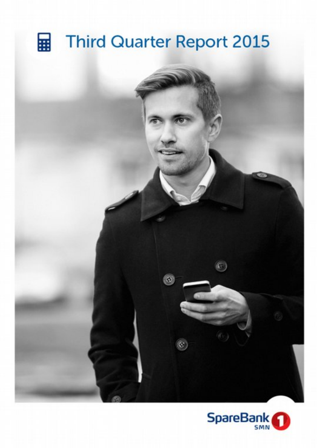## **Third Quarter Report 2015** 霊



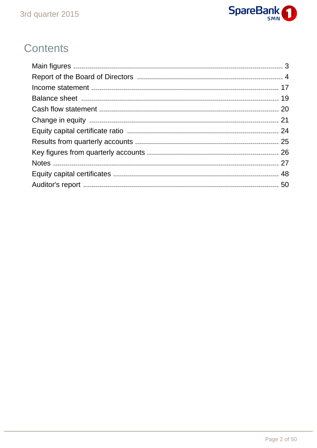

# Contents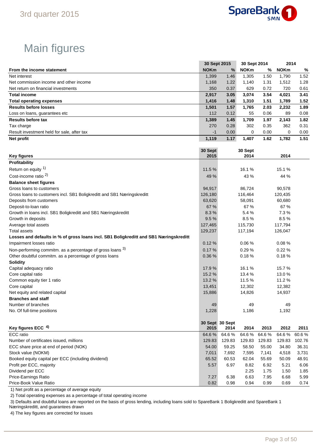

# Main figures

|                                                                                       |             | 30 Sept 2015    | 30 Sept 2014 |        | 2014        |        |
|---------------------------------------------------------------------------------------|-------------|-----------------|--------------|--------|-------------|--------|
| From the income statement                                                             | <b>NOKm</b> | %               | <b>NOKm</b>  | %      | <b>NOKm</b> | %      |
| Net interest                                                                          | 1,399       | 1.46            | 1,305        | 1.50   | 1,790       | 1.52   |
| Net commission income and other income                                                | 1,168       | 1.22            | 1,140        | 1.31   | 1,512       | 1.28   |
| Net return on financial investments                                                   | 350         | 0.37            | 629          | 0.72   | 720         | 0.61   |
| <b>Total income</b>                                                                   | 2,917       | 3.05            | 3,074        | 3.54   | 4,021       | 3.41   |
| <b>Total operating expenses</b>                                                       | 1,416       | 1.48            | 1,310        | 1.51   | 1,789       | 1.52   |
| <b>Results before losses</b>                                                          | 1,501       | 1.57            | 1,765        | 2.03   | 2,232       | 1.89   |
| Loss on loans, guarantees etc                                                         | 112         | 0.12            | 55           | 0.06   | 89          | 0.08   |
| <b>Results before tax</b>                                                             | 1,389       | 1.45            | 1,709        | 1.97   | 2,143       | 1.82   |
| Tax charge                                                                            | 270         | 0.28            | 302          | 0.35   | 362         | 0.31   |
| Result investment held for sale, after tax                                            | $-1$        | 0.00            | 0            | 0.00   | 0           | 0.00   |
| Net profit                                                                            | 1,119       | 1.17            | 1,407        | 1.62   | 1,782       | 1.51   |
|                                                                                       |             |                 |              |        |             |        |
|                                                                                       | 30 Sept     |                 | 30 Sept      |        |             |        |
| <b>Key figures</b>                                                                    | 2015        |                 | 2014         |        | 2014        |        |
| Profitability                                                                         |             |                 |              |        |             |        |
| Return on equity 1)                                                                   |             |                 |              |        |             |        |
|                                                                                       | 11.5 %      |                 | 16.1 %       |        | 15.1 %      |        |
| Cost-income ratio <sup>2)</sup>                                                       | 49 %        |                 | 43 %         |        | 44 %        |        |
| <b>Balance sheet figures</b>                                                          |             |                 |              |        |             |        |
| Gross loans to customers                                                              | 94,917      |                 | 86,724       |        | 90,578      |        |
| Gross loans to customers incl. SB1 Boligkreditt and SB1 Næringskreditt                | 126,180     |                 | 116,464      |        | 120,435     |        |
| Deposits from customers                                                               | 63,620      |                 | 58,091       |        | 60,680      |        |
| Deposit-to-loan ratio                                                                 | 67 %        |                 | 67 %         |        | 67 %        |        |
| Growth in loans incl. SB1 Boligkreditt and SB1 Næringskreditt                         | 8.3%        |                 | 5.4%         |        | 7.3%        |        |
| Growth in deposits                                                                    | 9.5%        |                 | 8.5%         |        | 8.5%        |        |
| Average total assets                                                                  | 127,465     |                 | 115,730      |        | 117,794     |        |
| <b>Total assets</b>                                                                   | 129,237     |                 | 117,194      |        | 126,047     |        |
| Losses and defaults in % of gross loans incl. SB1 Boligkreditt and SB1 Næringskreditt |             |                 |              |        |             |        |
| Impairment losses ratio                                                               | 0.12%       |                 | 0.06%        |        | 0.08%       |        |
| Non-performing commitm. as a percentage of gross loans 3)                             | 0.17%       |                 | 0.29%        |        | 0.22%       |        |
| Other doubtful commitm. as a percentage of gross loans                                | 0.36 %      |                 | 0.18%        |        | 0.18%       |        |
| <b>Solidity</b>                                                                       |             |                 |              |        |             |        |
| Capital adequacy ratio                                                                | 17.9%       |                 | 16.1%        |        | 15.7%       |        |
| Core capital ratio                                                                    | 15.2%       |                 | 13.4 %       |        | 13.0%       |        |
| Common equity tier 1 ratio                                                            | 13.2 %      |                 | 11.5 %       |        | 11.2%       |        |
| Core capital                                                                          | 13,451      |                 | 12,302       |        | 12,382      |        |
| Net equity and related capital                                                        | 15,886      |                 | 14,826       |        | 14,937      |        |
| <b>Branches and staff</b>                                                             |             |                 |              |        |             |        |
| Number of branches                                                                    | 49          |                 | 49           |        | 49          |        |
| No. Of full-time positions                                                            | 1,228       |                 | 1,186        |        | 1,192       |        |
|                                                                                       |             |                 |              |        |             |        |
|                                                                                       |             | 30 Sept 30 Sept |              |        |             |        |
| Key figures ECC 4)                                                                    | 2015        | 2014            | 2014         | 2013   | 2012        | 2011   |
| ECC ratio                                                                             | 64.6%       | 64.6%           | 64.6%        | 64.6%  | 64.6%       | 60.6%  |
| Number of certificates issued, millions                                               | 129.83      | 129.83          | 129.83       | 129.83 | 129.83      | 102.76 |
| ECC share price at end of period (NOK)                                                | 54.00       | 59.25           | 58.50        | 55.00  | 34.80       | 36.31  |
| Stock value (NOKM)                                                                    | 7,011       | 7,692           | 7,595        | 7,141  | 4,518       | 3,731  |
| Booked equity capital per ECC (including dividend)                                    | 65.52       | 60.53           | 62.04        | 55.69  | 50.09       | 48.91  |
| Profit per ECC, majority                                                              | 5.57        | 6.97            | 8.82         | 6.92   | 5.21        | 6.06   |
| Dividend per ECC                                                                      |             |                 | 2.25         | 1.75   | 1.50        | 1.85   |
| Price-Earnings Ratio                                                                  | 7.27        | 6.38            | 6.63         | 7.95   | 6.68        | 5.99   |

Price-Book Value Ratio **Discrete Act 10.82** 0.98 0.94 0.99 0.69 0.74

1) Net profit as a percentage of average equity

2) Total operating expenses as a percentage of total operating income

3) Defaults and doubtful loans are reported on the basis of gross lending, including loans sold to SpareBank 1 Boligkreditt and SpareBank 1

Næringskreditt, and guarantees drawn

4) The key figures are corrected for issues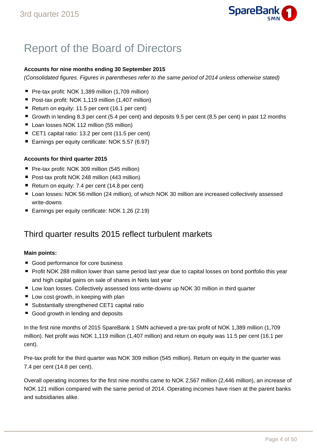

# Report of the Board of Directors

## **Accounts for nine months ending 30 September 2015**

(Consolidated figures. Figures in parentheses refer to the same period of 2014 unless otherwise stated)

- Pre-tax profit: NOK 1,389 million (1,709 million)
- Post-tax profit: NOK 1,119 million (1,407 million)
- Return on equity: 11.5 per cent (16.1 per cent)
- Growth in lending 8.3 per cent (5.4 per cent) and deposits 9.5 per cent (8.5 per cent) in past 12 months
- Loan losses NOK 112 million (55 million)
- CET1 capital ratio: 13.2 per cent (11.5 per cent)
- Earnings per equity certificate: NOK 5.57 (6.97)

## **Accounts for third quarter 2015**

- Pre-tax profit: NOK 309 million (545 million)
- Post-tax profit NOK 248 million (443 million)
- Return on equity: 7.4 per cent (14.8 per cent)
- Loan losses: NOK 56 million (24 million), of which NOK 30 million are increased collectively assessed write-downs
- Earnings per equity certificate: NOK 1.26 (2.19)

## Third quarter results 2015 reflect turbulent markets

## **Main points:**

- Good performance for core business
- Profit NOK 288 million lower than same period last year due to capital losses on bond portfolio this year and high capital gains on sale of shares in Nets last year
- Low loan losses. Collectively assessed loss write-downs up NOK 30 million in third quarter
- Low cost growth, in keeping with plan
- Substantially strengthened CET1 capital ratio
- Good growth in lending and deposits

In the first nine months of 2015 SpareBank 1 SMN achieved a pre-tax profit of NOK 1,389 million (1,709 million). Net profit was NOK 1,119 million (1,407 million) and return on equity was 11.5 per cent (16.1 per cent).

Pre-tax profit for the third quarter was NOK 309 million (545 million). Return on equity in the quarter was 7.4 per cent (14.8 per cent).

Overall operating incomes for the first nine months came to NOK 2,567 million (2,446 million), an increase of NOK 121 million compared with the same period of 2014. Operating incomes have risen at the parent banks and subsidiaries alike.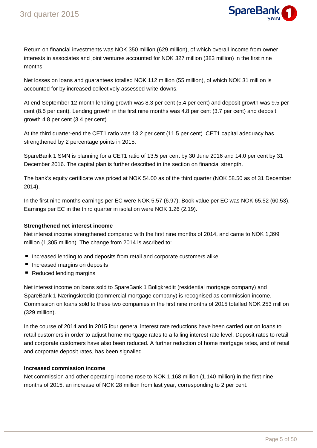

Return on financial investments was NOK 350 million (629 million), of which overall income from owner interests in associates and joint ventures accounted for NOK 327 million (383 million) in the first nine months.

Net losses on loans and guarantees totalled NOK 112 million (55 million), of which NOK 31 million is accounted for by increased collectively assessed write-downs.

At end-September 12-month lending growth was 8.3 per cent (5.4 per cent) and deposit growth was 9.5 per cent (8.5 per cent). Lending growth in the first nine months was 4.8 per cent (3.7 per cent) and deposit growth 4.8 per cent (3.4 per cent).

At the third quarter-end the CET1 ratio was 13.2 per cent (11.5 per cent). CET1 capital adequacy has strengthened by 2 percentage points in 2015.

SpareBank 1 SMN is planning for a CET1 ratio of 13.5 per cent by 30 June 2016 and 14.0 per cent by 31 December 2016. The capital plan is further described in the section on financial strength.

The bank's equity certificate was priced at NOK 54.00 as of the third quarter (NOK 58.50 as of 31 December 2014).

In the first nine months earnings per EC were NOK 5.57 (6.97). Book value per EC was NOK 65.52 (60.53). Earnings per EC in the third quarter in isolation were NOK 1.26 (2.19).

## **Strengthened net interest income**

Net interest income strengthened compared with the first nine months of 2014, and came to NOK 1,399 million (1,305 million). The change from 2014 is ascribed to:

- **Increased lending to and deposits from retail and corporate customers alike**
- **Increased margins on deposits**
- Reduced lending margins

Net interest income on loans sold to SpareBank 1 Boligkreditt (residential mortgage company) and SpareBank 1 Næringskreditt (commercial mortgage company) is recognised as commission income. Commission on loans sold to these two companies in the first nine months of 2015 totalled NOK 253 million (329 million).

In the course of 2014 and in 2015 four general interest rate reductions have been carried out on loans to retail customers in order to adjust home mortgage rates to a falling interest rate level. Deposit rates to retail and corporate customers have also been reduced. A further reduction of home mortgage rates, and of retail and corporate deposit rates, has been signalled.

## **Increased commission income**

Net commission and other operating income rose to NOK 1,168 million (1,140 million) in the first nine months of 2015, an increase of NOK 28 million from last year, corresponding to 2 per cent.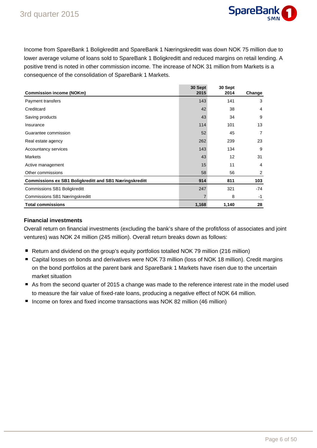

Income from SpareBank 1 Boligkreditt and SpareBank 1 Næringskreditt was down NOK 75 million due to lower average volume of loans sold to SpareBank 1 Boligkreditt and reduced margins on retail lending. A positive trend is noted in other commission income. The increase of NOK 31 million from Markets is a consequence of the consolidation of SpareBank 1 Markets.

| <b>Commission income (NOKm)</b>                               | 30 Sept<br>2015 | 30 Sept<br>2014 | Change         |
|---------------------------------------------------------------|-----------------|-----------------|----------------|
| Payment transfers                                             | 143             | 141             | 3              |
| Creditcard                                                    | 42              | 38              | $\overline{4}$ |
| Saving products                                               | 43              | 34              | 9              |
| Insurance                                                     | 114             | 101             | 13             |
| Guarantee commission                                          | 52              | 45              | $\overline{7}$ |
| Real estate agency                                            | 262             | 239             | 23             |
| Accountancy services                                          | 143             | 134             | 9              |
| <b>Markets</b>                                                | 43              | 12              | 31             |
| Active management                                             | 15              | 11              | $\overline{4}$ |
| Other commissions                                             | 58              | 56              | 2              |
| <b>Commissions ex SB1 Boligkreditt and SB1 Næringskreditt</b> | 914             | 811             | 103            |
| Commissions SB1 Boligkreditt                                  | 247             | 321             | -74            |
| Commissions SB1 Næringskreditt                                | $\overline{7}$  | 8               | -1             |
| <b>Total commissions</b>                                      | 1,168           | 1,140           | 28             |

## **Financial investments**

Overall return on financial investments (excluding the bank's share of the profit/loss of associates and joint ventures) was NOK 24 million (245 million). Overall return breaks down as follows:

- Return and dividend on the group's equity portfolios totalled NOK 79 million (216 million)
- Capital losses on bonds and derivatives were NOK 73 million (loss of NOK 18 million). Credit margins on the bond portfolios at the parent bank and SpareBank 1 Markets have risen due to the uncertain market situation
- As from the second quarter of 2015 a change was made to the reference interest rate in the model used to measure the fair value of fixed-rate loans, producing a negative effect of NOK 64 million.
- Income on forex and fixed income transactions was NOK 82 million (46 million)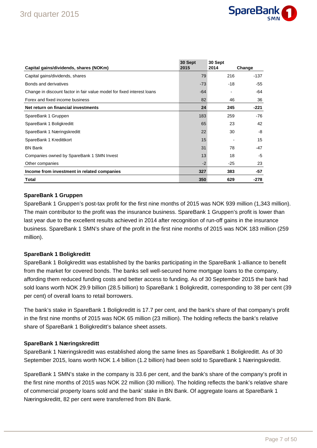

| Capital gains/dividends, shares (NOKm)                                 | 30 Sept<br>2015 | 30 Sept<br>2014 | Change |
|------------------------------------------------------------------------|-----------------|-----------------|--------|
| Capital gains/dividends, shares                                        | 79              | 216             | -137   |
| Bonds and derivatives                                                  | $-73$           | $-18$           | $-55$  |
| Change in discount factor in fair value model for fixed interest loans | $-64$           |                 | $-64$  |
| Forex and fixed income business                                        | 82              | 46              | 36     |
| Net return on financial investments                                    | 24              | 245             | $-221$ |
| SpareBank 1 Gruppen                                                    | 183             | 259             | $-76$  |
| SpareBank 1 Boligkreditt                                               | 65              | 23              | 42     |
| SpareBank 1 Næringskreditt                                             | 22              | 30              | -8     |
| SpareBank 1 Kredittkort                                                | 15              |                 | 15     |
| <b>BN Bank</b>                                                         | 31              | 78              | $-47$  |
| Companies owned by SpareBank 1 SMN Invest                              | 13              | 18              | $-5$   |
| Other companies                                                        | $-2$            | $-25$           | 23     |
| Income from investment in related companies                            | 327             | 383             | $-57$  |
| Total                                                                  | 350             | 629             | $-278$ |

## **SpareBank 1 Gruppen**

SpareBank 1 Gruppen's post-tax profit for the first nine months of 2015 was NOK 939 million (1,343 million). The main contributor to the profit was the insurance business. SpareBank 1 Gruppen's profit is lower than last year due to the excellent results achieved in 2014 after recognition of run-off gains in the insurance business. SpareBank 1 SMN's share of the profit in the first nine months of 2015 was NOK 183 million (259 million).

## **SpareBank 1 Boligkreditt**

SpareBank 1 Boligkreditt was established by the banks participating in the SpareBank 1-alliance to benefit from the market for covered bonds. The banks sell well-secured home mortgage loans to the company, affording them reduced funding costs and better access to funding. As of 30 September 2015 the bank had sold loans worth NOK 29.9 billion (28.5 billion) to SpareBank 1 Boligkreditt, corresponding to 38 per cent (39 per cent) of overall loans to retail borrowers.

The bank's stake in SpareBank 1 Boligkreditt is 17.7 per cent, and the bank's share of that company's profit in the first nine months of 2015 was NOK 65 million (23 million). The holding reflects the bank's relative share of SpareBank 1 Boligkreditt's balance sheet assets.

## **SpareBank 1 Næringskreditt**

SpareBank 1 Næringskreditt was established along the same lines as SpareBank 1 Boligkreditt. As of 30 September 2015, loans worth NOK 1.4 billion (1.2 billion) had been sold to SpareBank 1 Næringskreditt.

SpareBank 1 SMN's stake in the company is 33.6 per cent, and the bank's share of the company's profit in the first nine months of 2015 was NOK 22 million (30 million). The holding reflects the bank's relative share of commercial property loans sold and the bank' stake in BN Bank. Of aggregate loans at SpareBank 1 Næringskreditt, 82 per cent were transferred from BN Bank.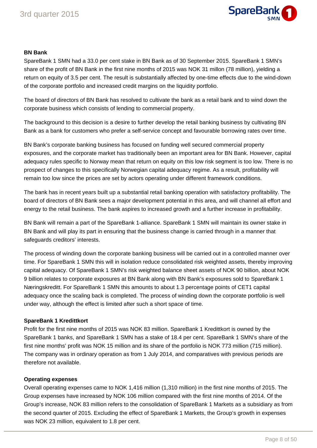

## **BN Bank**

SpareBank 1 SMN had a 33.0 per cent stake in BN Bank as of 30 September 2015. SpareBank 1 SMN's share of the profit of BN Bank in the first nine months of 2015 was NOK 31 millon (78 million), yielding a return on equity of 3.5 per cent. The result is substantially affected by one-time effects due to the wind-down of the corporate portfolio and increased credit margins on the liquidity portfolio.

The board of directors of BN Bank has resolved to cultivate the bank as a retail bank and to wind down the corporate business which consists of lending to commercial property.

The background to this decision is a desire to further develop the retail banking business by cultivating BN Bank as a bank for customers who prefer a self-service concept and favourable borrowing rates over time.

BN Bank's corporate banking business has focused on funding well secured commercial property exposures, and the corporate market has traditionally been an important area for BN Bank. However, capital adequacy rules specific to Norway mean that return on equity on this low risk segment is too low. There is no prospect of changes to this specifically Norwegian capital adequacy regime. As a result, profitability will remain too low since the prices are set by actors operating under different framework conditions.

The bank has in recent years built up a substantial retail banking operation with satisfactory profitability. The board of directors of BN Bank sees a major development potential in this area, and will channel all effort and energy to the retail business. The bank aspires to increased growth and a further increase in profitability.

BN Bank will remain a part of the SpareBank 1-alliance. SpareBank 1 SMN will maintain its owner stake in BN Bank and will play its part in ensuring that the business change is carried through in a manner that safeguards creditors' interests.

The process of winding down the corporate banking business will be carried out in a controlled manner over time. For SpareBank 1 SMN this will in isolation reduce consolidated risk weighted assets, thereby improving capital adequacy. Of SpareBank 1 SMN's risk weighted balance sheet assets of NOK 90 billion, about NOK 9 billion relates to corporate exposures at BN Bank along with BN Bank's exposures sold to SpareBank 1 Næringskreditt. For SpareBank 1 SMN this amounts to about 1.3 percentage points of CET1 capital adequacy once the scaling back is completed. The process of winding down the corporate portfolio is well under way, although the effect is limited after such a short space of time.

## **SpareBank 1 Kredittkort**

Profit for the first nine months of 2015 was NOK 83 million. SpareBank 1 Kredittkort is owned by the SpareBank 1 banks, and SpareBank 1 SMN has a stake of 18.4 per cent. SpareBank 1 SMN's share of the first nine months' profit was NOK 15 million and its share of the portfolio is NOK 773 million (715 million). The company was in ordinary operation as from 1 July 2014, and comparatives with previous periods are therefore not available.

## **Operating expenses**

Overall operating expenses came to NOK 1,416 million (1,310 million) in the first nine months of 2015. The Group expenses have increased by NOK 106 million compared with the first nine months of 2014. Of the Group's increase, NOK 83 million refers to the consolidation of SpareBank 1 Markets as a subsidiary as from the second quarter of 2015. Excluding the effect of SpareBank 1 Markets, the Group's growth in expenses was NOK 23 million, equivalent to 1.8 per cent.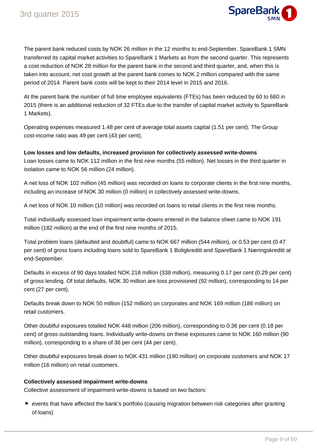

The parent bank reduced costs by NOK 26 million in the 12 months to end-September. SpareBank 1 SMN transferred its capital market activities to SpareBank 1 Markets as from the second quarter. This represents a cost reduction of NOK 28 million for the parent bank in the second and third quarter, and, when this is taken into account, net cost growth at the parent bank comes to NOK 2 million compared with the same period of 2014. Parent bank costs will be kept to their 2014 level in 2015 and 2016.

At the parent bank the number of full time employee equivalents (FTEs) has been reduced by 60 to 660 in 2015 (there is an additional reduction of 32 FTEs due to the transfer of capital market activity to SpareBank 1 Markets).

Operating expenses measured 1.48 per cent of average total assets capital (1.51 per cent). The Group cost-income ratio was 49 per cent (43 per cent).

**Low losses and low defaults, increased provision for collectively assessed write-downs** Loan losses came to NOK 112 million in the first nine months (55 million). Net losses in the third quarter in isolation came to NOK 56 million (24 million).

A net loss of NOK 102 million (45 million) was recorded on loans to corporate clients in the first nine months, including an increase of NOK 30 million (0 million) in collectively assessed write-downs.

A net loss of NOK 10 million (10 million) was recorded on loans to retail clients in the first nine months.

Total individually assessed loan impairment write-downs entered in the balance sheet came to NOK 191 million (182 million) at the end of the first nine months of 2015.

Total problem loans (defaulted and doubtful) came to NOK 667 million (544 million), or 0.53 per cent (0.47 per cent) of gross loans including loans sold to SpareBank 1 Boligkreditt and SpareBank 1 Næringskreditt at end-September.

Defaults in excess of 90 days totalled NOK 218 million (338 million), measuring 0.17 per cent (0.29 per cent) of gross lending. Of total defaults, NOK 30 million are loss provisioned (92 million), corresponding to 14 per cent (27 per cent).

Defaults break down to NOK 50 million (152 million) on corporates and NOK 169 million (186 million) on retail customers.

Other doubtful exposures totalled NOK 448 million (206 million), corresponding to 0.36 per cent (0.18 per cent) of gross outstanding loans. Individually write-downs on these exposures came to NOK 160 million (90 million), corresponding to a share of 36 per cent (44 per cent).

Other doubtful exposures break down to NOK 431 million (190 million) on corporate customers and NOK 17 million (16 million) on retail customers.

## **Collectively assessed impairment write-downs**

Collective assessment of impairment write-downs is based on two factors:

events that have affected the bank's portfolio (causing migration between risk categories after granting of loans)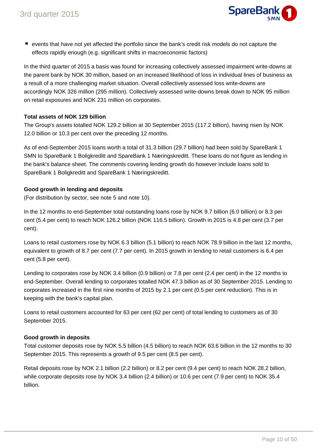

events that have not yet affected the portfolio since the bank's credit risk models do not capture the effects rapidly enough (e.g. significant shifts in macroeconomic factors)

In the third quarter of 2015 a basis was found for increasing collectively assessed impairment write-downs at the parent bank by NOK 30 million, based on an increased likelihood of loss in individual lines of business as a result of a more challenging market situation. Overall collectively assessed loss write-downs are accordingly NOK 326 million (295 million). Collectively assessed write-downs break down to NOK 95 million on retail exposures and NOK 231 million on corporates.

## **Total assets of NOK 129 billion**

The Group's assets totalled NOK 129.2 billion at 30 September 2015 (117.2 billion), having risen by NOK 12.0 billion or 10.3 per cent over the preceding 12 months.

As of end-September 2015 loans worth a total of 31.3 billion (29.7 billion) had been sold by SpareBank 1 SMN to SpareBank 1 Boligkreditt and SpareBank 1 Næringskreditt. These loans do not figure as lending in the bank's balance sheet. The comments covering lending growth do however include loans sold to SpareBank 1 Boligkreditt and SpareBank 1 Næringskreditt.

## **Good growth in lending and deposits**

(For distribution by sector, see note 5 and note 10).

In the 12 months to end-September total outstanding loans rose by NOK 9.7 billion (6.0 billion) or 8.3 per cent (5.4 per cent) to reach NOK 126.2 billion (NOK 116.5 billion). Growth in 2015 is 4.8 per cent (3.7 per cent).

Loans to retail customers rose by NOK 6.3 billion (5.1 billion) to reach NOK 78.9 billion in the last 12 months, equivalent to growth of 8.7 per cent (7.7 per cent). In 2015 growth in lending to retail customers is 6.4 per cent (5.8 per cent).

Lending to corporates rose by NOK 3.4 billion (0.9 billion) or 7.8 per cent (2.4 per cent) in the 12 months to end-September. Overall lending to corporates totalled NOK 47.3 billion as of 30 September 2015. Lending to corporates increased in the first nine months of 2015 by 2.1 per cent (0.5 per cent reduction). This is in keeping with the bank's capital plan.

Loans to retail customers accounted for 63 per cent (62 per cent) of total lending to customers as of 30 September 2015.

## **Good growth in deposits**

Total customer deposits rose by NOK 5.5 billion (4.5 billion) to reach NOK 63.6 billion in the 12 months to 30 September 2015. This represents a growth of 9.5 per cent (8.5 per cent).

Retail deposits rose by NOK 2.1 billion (2.2 billion) or 8.2 per cent (9.4 per cent) to reach NOK 28.2 billion, while corporate deposits rose by NOK 3.4 billion (2.4 billion) or 10.6 per cent (7.9 per cent) to NOK 35.4 billion.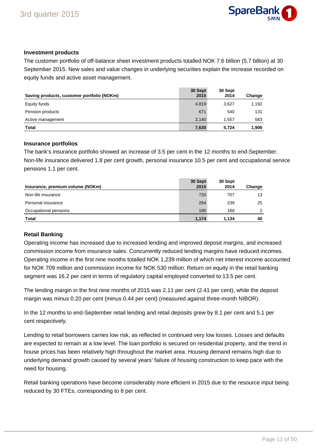

## **Investment products**

The customer portfolio of off-balance sheet investment products totalled NOK 7.6 billion (5.7 billion) at 30 September 2015. New sales and value changes in underlying securities explain the increase recorded on equity funds and active asset management.

| Saving products, customer portfolio (NOKm) | 30 Sept<br>2015 | 30 Sept<br>2014 | Change |
|--------------------------------------------|-----------------|-----------------|--------|
| Equity funds                               | 4,819           | 3,627           | 1,192  |
| Pension products                           | 671             | 540             | 131    |
| Active management                          | 2.140           | 1.557           | 583    |
| Total                                      | 7,630           | 5.724           | 1.906  |

## **Insurance portfolios**

The bank's insurance portfolio showed an increase of 3.5 per cent in the 12 months to end-September. Non-life insurance delivered 1.8 per cent growth, personal insurance 10.5 per cent and occupational service pensions 1.1 per cent.

| Insurance, premium volume (NOKm) | 30 Sept<br>2015 | 30 Sept<br>2014 | Change |
|----------------------------------|-----------------|-----------------|--------|
| Non-life insurance               | 720             | 707             | 13     |
| Personal insurance               | 264             | 239             | 25     |
| Occupational pensions            | 190             | 188             | ◠      |
| Total                            | 1.174           | 1.134           | 40     |

## **Retail Banking**

Operating income has increased due to increased lending and improved deposit margins, and increased commission income from insurance sales. Concurrently reduced lending margins have reduced incomes. Operating income in the first nine months totalled NOK 1,239 million of which net interest income accounted for NOK 709 million and commission income for NOK 530 million. Return on equity in the retail banking segment was 16.2 per cent in terms of regulatory capital employed converted to 13.5 per cent.

The lending margin in the first nine months of 2015 was 2.11 per cent (2.41 per cent), while the deposit margin was minus 0.20 per cent (minus 0.44 per cent) (measured against three-month NIBOR).

In the 12 months to end-September retail lending and retail deposits grew by 8.1 per cent and 5.1 per cent respectively.

Lending to retail borrowers carries low risk, as reflected in continued very low losses. Losses and defaults are expected to remain at a low level. The loan portfolio is secured on residential property, and the trend in house prices has been relatively high throughout the market area. Housing demand remains high due to underlying demand growth caused by several years' failure of housing construction to keep pace with the need for housing.

Retail banking operations have become considerably more efficient in 2015 due to the resource input being reduced by 30 FTEs, corresponding to 8 per cent.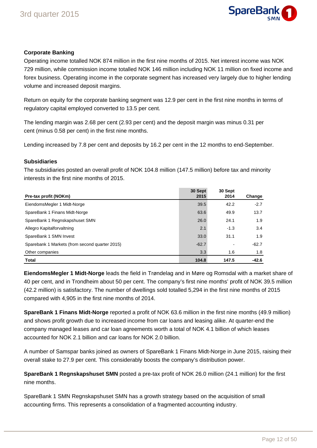

## **Corporate Banking**

Operating income totalled NOK 874 million in the first nine months of 2015. Net interest income was NOK 729 million, while commission income totalled NOK 146 million including NOK 11 million on fixed income and forex business. Operating income in the corporate segment has increased very largely due to higher lending volume and increased deposit margins.

Return on equity for the corporate banking segment was 12.9 per cent in the first nine months in terms of regulatory capital employed converted to 13.5 per cent.

The lending margin was 2.68 per cent (2.93 per cent) and the deposit margin was minus 0.31 per cent (minus 0.58 per cent) in the first nine months.

Lending increased by 7.8 per cent and deposits by 16.2 per cent in the 12 months to end-September.

## **Subsidiaries**

The subsidiaries posted an overall profit of NOK 104.8 million (147.5 million) before tax and minority interests in the first nine months of 2015.

| Pre-tax profit (NOKm)                          | 30 Sept<br>2015 | 30 Sept<br>2014 | Change  |
|------------------------------------------------|-----------------|-----------------|---------|
| EiendomsMegler 1 Midt-Norge                    | 39.5            | 42.2            | $-2.7$  |
| SpareBank 1 Finans Midt-Norge                  | 63.6            | 49.9            | 13.7    |
| SpareBank 1 Regnskapshuset SMN                 | 26.0            | 24.1            | 1.9     |
| Allegro Kapitalforvaltning                     | 2.1             | $-1.3$          | 3.4     |
| SpareBank 1 SMN Invest                         | 33.0            | 31.1            | 1.9     |
| Sparebank 1 Markets (from second quarter 2015) | $-62.7$         | -               | $-62.7$ |
| Other companies                                | 3.3             | 1.6             | 1.8     |
| <b>Total</b>                                   | 104.8           | 147.5           | $-42.6$ |

**EiendomsMegler 1 Midt-Norge** leads the field in Trøndelag and in Møre og Romsdal with a market share of 40 per cent, and in Trondheim about 50 per cent. The company's first nine months' profit of NOK 39.5 million (42.2 million) is satisfactory. The number of dwellings sold totalled 5,294 in the first nine months of 2015 compared with 4,905 in the first nine months of 2014.

**SpareBank 1 Finans Midt-Norge** reported a profit of NOK 63.6 million in the first nine months (49.9 million) and shows profit growth due to increased income from car loans and leasing alike. At quarter-end the company managed leases and car loan agreements worth a total of NOK 4.1 billion of which leases accounted for NOK 2.1 billion and car loans for NOK 2.0 billion.

A number of Samspar banks joined as owners of SpareBank 1 Finans Midt-Norge in June 2015, raising their overall stake to 27.9 per cent. This considerably boosts the company's distribution power.

**SpareBank 1 Regnskapshuset SMN** posted a pre-tax profit of NOK 26.0 million (24.1 million) for the first nine months.

SpareBank 1 SMN Regnskapshuset SMN has a growth strategy based on the acquisition of small accounting firms. This represents a consolidation of a fragmented accounting industry.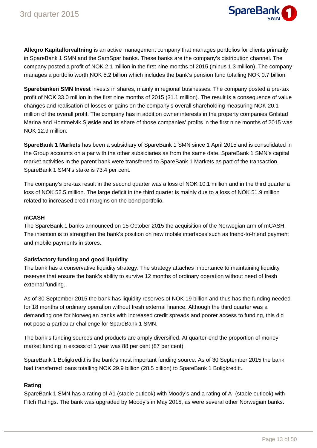

**Allegro Kapitalforvaltning** is an active management company that manages portfolios for clients primarily in SpareBank 1 SMN and the SamSpar banks. These banks are the company's distribution channel. The company posted a profit of NOK 2.1 million in the first nine months of 2015 (minus 1.3 million). The company manages a portfolio worth NOK 5.2 billion which includes the bank's pension fund totalling NOK 0.7 billion.

Sparebanken SMN Invest invests in shares, mainly in regional businesses. The company posted a pre-tax profit of NOK 33.0 million in the first nine months of 2015 (31.1 million). The result is a consequence of value changes and realisation of losses or gains on the company's overall shareholding measuring NOK 20.1 million of the overall profit. The company has in addition owner interests in the property companies Grilstad Marina and Hommelvik Sjøside and its share of those companies' profits in the first nine months of 2015 was NOK 12.9 million.

**SpareBank 1 Markets** has been a subsidiary of SpareBank 1 SMN since 1 April 2015 and is consolidated in the Group accounts on a par with the other subsidiaries as from the same date. SpareBank 1 SMN's capital market activities in the parent bank were transferred to SpareBank 1 Markets as part of the transaction. SpareBank 1 SMN's stake is 73.4 per cent.

The company's pre-tax result in the second quarter was a loss of NOK 10.1 million and in the third quarter a loss of NOK 52.5 million. The large deficit in the third quarter is mainly due to a loss of NOK 51.9 million related to increased credit margins on the bond portfolio.

## **mCASH**

The SpareBank 1 banks announced on 15 October 2015 the acquisition of the Norwegian arm of mCASH. The intention is to strengthen the bank's position on new mobile interfaces such as friend-to-friend payment and mobile payments in stores.

## **Satisfactory funding and good liquidity**

The bank has a conservative liquidity strategy. The strategy attaches importance to maintaining liquidity reserves that ensure the bank's ability to survive 12 months of ordinary operation without need of fresh external funding.

As of 30 September 2015 the bank has liquidity reserves of NOK 19 billion and thus has the funding needed for 18 months of ordinary operation without fresh external finance. Although the third quarter was a demanding one for Norwegian banks with increased credit spreads and poorer access to funding, this did not pose a particular challenge for SpareBank 1 SMN.

The bank's funding sources and products are amply diversified. At quarter-end the proportion of money market funding in excess of 1 year was 88 per cent (87 per cent).

SpareBank 1 Boligkreditt is the bank's most important funding source. As of 30 September 2015 the bank had transferred loans totalling NOK 29.9 billion (28.5 billion) to SpareBank 1 Boligkreditt.

## **Rating**

SpareBank 1 SMN has a rating of A1 (stable outlook) with Moody's and a rating of A- (stable outlook) with Fitch Ratings. The bank was upgraded by Moody's in May 2015, as were several other Norwegian banks.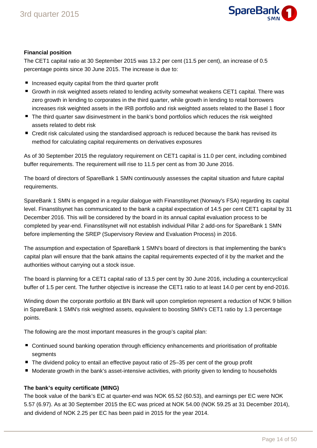

## **Financial position**

The CET1 capital ratio at 30 September 2015 was 13.2 per cent (11.5 per cent), an increase of 0.5 percentage points since 30 June 2015. The increase is due to:

- **Increased equity capital from the third quarter profit**
- Growth in risk weighted assets related to lending activity somewhat weakens CET1 capital. There was zero growth in lending to corporates in the third quarter, while growth in lending to retail borrowers increases risk weighted assets in the IRB portfolio and risk weighted assets related to the Basel 1 floor
- The third quarter saw disinvestment in the bank's bond portfolios which reduces the risk weighted assets related to debt risk
- Credit risk calculated using the standardised approach is reduced because the bank has revised its method for calculating capital requirements on derivatives exposures

As of 30 September 2015 the regulatory requirement on CET1 capital is 11.0 per cent, including combined buffer requirements. The requirement will rise to 11.5 per cent as from 30 June 2016.

The board of directors of SpareBank 1 SMN continuously assesses the capital situation and future capital requirements.

SpareBank 1 SMN is engaged in a regular dialogue with Finanstilsynet (Norway's FSA) regarding its capital level. Finanstilsynet has communicated to the bank a capital expectation of 14.5 per cent CET1 capital by 31 December 2016. This will be considered by the board in its annual capital evaluation process to be completed by year-end. Finanstilsynet will not establish individual Pillar 2 add-ons for SpareBank 1 SMN before implementing the SREP (Supervisory Review and Evaluation Process) in 2016.

The assumption and expectation of SpareBank 1 SMN's board of directors is that implementing the bank's capital plan will ensure that the bank attains the capital requirements expected of it by the market and the authorities without carrying out a stock issue.

The board is planning for a CET1 capital ratio of 13.5 per cent by 30 June 2016, including a countercyclical buffer of 1.5 per cent. The further objective is increase the CET1 ratio to at least 14.0 per cent by end-2016.

Winding down the corporate portfolio at BN Bank will upon completion represent a reduction of NOK 9 billion in SpareBank 1 SMN's risk weighted assets, equivalent to boosting SMN's CET1 ratio by 1.3 percentage points.

The following are the most important measures in the group's capital plan:

- Continued sound banking operation through efficiency enhancements and prioritisation of profitable segments
- $\blacksquare$  The dividend policy to entail an effective payout ratio of 25–35 per cent of the group profit
- Moderate growth in the bank's asset-intensive activities, with priority given to lending to households

## **The bank's equity certificate (MING)**

The book value of the bank's EC at quarter-end was NOK 65.52 (60.53), and earnings per EC were NOK 5.57 (6.97). As at 30 September 2015 the EC was priced at NOK 54.00 (NOK 59.25 at 31 December 2014), and dividend of NOK 2.25 per EC has been paid in 2015 for the year 2014.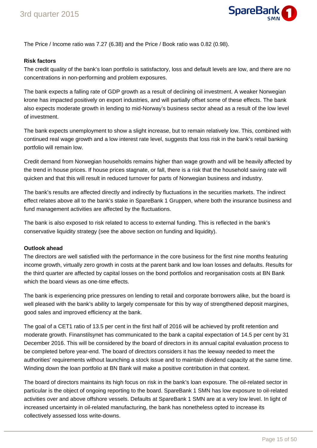

The Price / Income ratio was 7.27 (6.38) and the Price / Book ratio was 0.82 (0.98).

## **Risk factors**

The credit quality of the bank's loan portfolio is satisfactory, loss and default levels are low, and there are no concentrations in non-performing and problem exposures.

The bank expects a falling rate of GDP growth as a result of declining oil investment. A weaker Norwegian krone has impacted positively on export industries, and will partially offset some of these effects. The bank also expects moderate growth in lending to mid-Norway's business sector ahead as a result of the low level of investment.

The bank expects unemployment to show a slight increase, but to remain relatively low. This, combined with continued real wage growth and a low interest rate level, suggests that loss risk in the bank's retail banking portfolio will remain low.

Credit demand from Norwegian households remains higher than wage growth and will be heavily affected by the trend in house prices. If house prices stagnate, or fall, there is a risk that the household saving rate will quicken and that this will result in reduced turnover for parts of Norwegian business and industry.

The bank's results are affected directly and indirectly by fluctuations in the securities markets. The indirect effect relates above all to the bank's stake in SpareBank 1 Gruppen, where both the insurance business and fund management activities are affected by the fluctuations.

The bank is also exposed to risk related to access to external funding. This is reflected in the bank's conservative liquidity strategy (see the above section on funding and liquidity).

## **Outlook ahead**

The directors are well satisfied with the performance in the core business for the first nine months featuring income growth, virtually zero growth in costs at the parent bank and low loan losses and defaults. Results for the third quarter are affected by capital losses on the bond portfolios and reorganisation costs at BN Bank which the board views as one-time effects.

The bank is experiencing price pressures on lending to retail and corporate borrowers alike, but the board is well pleased with the bank's ability to largely compensate for this by way of strengthened deposit margines, good sales and improved efficiency at the bank.

The goal of a CET1 ratio of 13.5 per cent in the first half of 2016 will be achieved by profit retention and moderate growth. Finanstilsynet has communicated to the bank a capital expectation of 14.5 per cent by 31 December 2016. This will be considered by the board of directors in its annual capital evaluation process to be completed before year-end. The board of directors considers it has the leeway needed to meet the authorities' requirements without launching a stock issue and to maintain dividend capacity at the same time. Winding down the loan portfolio at BN Bank will make a positive contribution in that context.

The board of directors maintains its high focus on risk in the bank's loan exposure. The oil-related sector in particular is the object of ongoing reporting to the board. SpareBank 1 SMN has low exposure to oil-related activities over and above offshore vessels. Defaults at SpareBank 1 SMN are at a very low level. In light of increased uncertainty in oil-related manufacturing, the bank has nonetheless opted to increase its collectively assessed loss write-downs.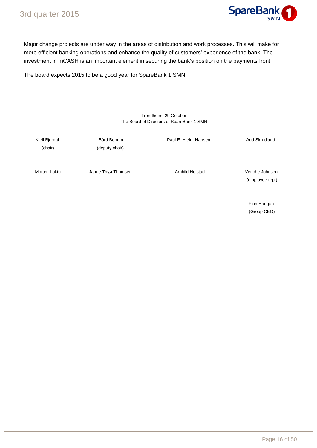

Major change projects are under way in the areas of distribution and work processes. This will make for more efficient banking operations and enhance the quality of customers' experience of the bank. The investment in mCASH is an important element in securing the bank's position on the payments front.

The board expects 2015 to be a good year for SpareBank 1 SMN.

#### Trondheim, 29 October The Board of Directors of SpareBank 1 SMN

Kjell Bjordal **Bård Benum** Bård Benum Paul E. Hjelm-Hansen Aud Skrudland (chair) (deputy chair) Morten Loktu **Janne Thyø Thomsen** Arnhild Holstad Venche Johnsen (employee rep.)

> Finn Haugan (Group CEO)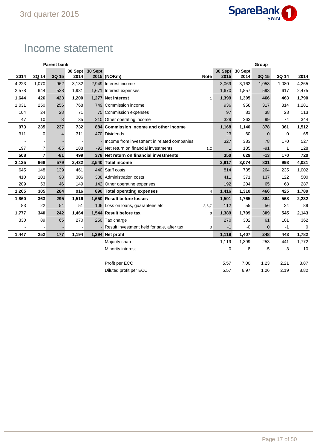

## Income statement

| <b>Parent bank</b> |                |       |       |                 |                                               |                         |              |                 | Group       |       |             |
|--------------------|----------------|-------|-------|-----------------|-----------------------------------------------|-------------------------|--------------|-----------------|-------------|-------|-------------|
|                    |                |       |       | 30 Sept 30 Sept |                                               |                         |              | 30 Sept 30 Sept |             |       |             |
| 2014               | 3Q 14          | 3Q 15 | 2014  |                 | 2015 (NOKm)                                   | <b>Note</b>             | 2015         | 2014            | 3Q 15       | 3Q 14 | 2014        |
| 4,223              | 1,070          | 962   | 3,132 |                 | 2,949 Interest income                         |                         | 3,069        | 3,162           | 1,058       | 1,080 | 4,265       |
| 2,578              | 644            | 538   | 1,931 |                 | 1,671 Interest expenses                       |                         | 1.670        | 1,857           | 593         | 617   | 2,475       |
| 1,644              | 426            | 423   | 1,200 |                 | 1,277 Net interest                            | $\mathbf{1}$            | 1,399        | 1,305           | 466         | 463   | 1,790       |
| 1,031              | 250            | 256   | 768   |                 | 749 Commission income                         |                         | 936          | 958             | 317         | 314   | 1,281       |
| 104                | 24             | 28    | 71    |                 | 75 Commission expenses                        |                         | 97           | 81              | 38          | 28    | 113         |
| 47                 | 10             | 8     | 35    |                 | 210 Other operating income                    |                         | 329          | 263             | 99          | 74    | 344         |
| 973                | 235            | 237   | 732   |                 | 884 Commission income and other income        |                         | 1,168        | 1,140           | 378         | 361   | 1,512       |
| 311                | 0              | 4     | 311   |                 | 470 Dividends                                 |                         | 23           | 60              | $\mathbf 0$ | 0     | 65          |
|                    |                |       |       |                 | - Income from investment in related companies |                         | 327          | 383             | 78          | 170   | 527         |
| 197                | $\overline{7}$ | $-85$ | 188   |                 | -92 Net return on financial investments       | 1,2                     | $\mathbf{1}$ | 185             | $-91$       | 1     | 128         |
| 508                | $\overline{7}$ | $-81$ | 499   |                 | 378 Net return on financial investments       |                         | 350          | 629             | $-13$       | 170   | 720         |
| 3,125              | 668            | 579   | 2,432 |                 | 2,540 Total income                            |                         | 2,917        | 3,074           | 831         | 993   | 4,021       |
| 645                | 148            | 139   | 461   |                 | 440 Staff costs                               |                         | 814          | 735             | 264         | 235   | 1,002       |
| 410                | 103            | 98    | 306   |                 | 308 Administration costs                      |                         | 411          | 371             | 137         | 122   | 500         |
| 209                | 53             | 46    | 149   |                 | 142 Other operating expenses                  |                         | 192          | 204             | 65          | 68    | 287         |
| 1,265              | 305            | 284   | 916   |                 | 890 Total operating expenses                  | $\overline{\mathbf{4}}$ | 1,416        | 1,310           | 466         | 425   | 1,789       |
| 1,860              | 363            | 295   | 1,516 |                 | 1,650 Result before losses                    |                         | 1,501        | 1,765           | 364         | 568   | 2,232       |
| 83                 | 22             | 54    | 51    |                 | 106 Loss on loans, guarantees etc.            | 2,6,7                   | 112          | 55              | 56          | 24    | 89          |
| 1,777              | 340            | 242   | 1,464 |                 | 1,544 Result before tax                       | 3                       | 1,389        | 1,709           | 309         | 545   | 2,143       |
| 330                | 89             | 65    | 270   |                 | 250 Tax charge                                |                         | 270          | 302             | 61          | 101   | 362         |
|                    |                |       |       |                 | - Result investment held for sale, after tax  | 3                       | $-1$         | $-0$            | $\mathbf 0$ | $-1$  | $\mathbf 0$ |
| 1,447              | 252            | 177   | 1,194 |                 | 1,294 Net profit                              |                         | 1,119        | 1,407           | 248         | 443   | 1,782       |
|                    |                |       |       |                 | Majority share                                |                         | 1,119        | 1,399           | 253         | 441   | 1,772       |
|                    |                |       |       |                 | Minority interest                             |                         | $\mathbf 0$  | 8               | $-5$        | 3     | 10          |
|                    |                |       |       |                 |                                               |                         |              |                 |             |       |             |
|                    |                |       |       |                 | Profit per ECC                                |                         | 5.57         | 7.00            | 1.23        | 2.21  | 8.87        |
|                    |                |       |       |                 | Diluted profit per ECC                        |                         | 5.57         | 6.97            | 1.26        | 2.19  | 8.82        |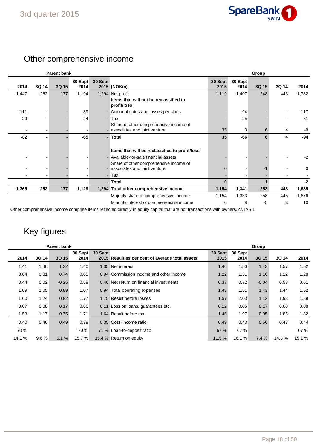

## Other comprehensive income

| <b>Parent bank</b> |       |       |                 |         |                                                                          |                 | Group           |       |       |        |  |
|--------------------|-------|-------|-----------------|---------|--------------------------------------------------------------------------|-----------------|-----------------|-------|-------|--------|--|
| 2014               | 3Q 14 | 3Q 15 | 30 Sept<br>2014 | 30 Sept | 2015 (NOKm)                                                              | 30 Sept<br>2015 | 30 Sept<br>2014 | 3Q 15 | 3Q 14 | 2014   |  |
| 1,447              | 252   | 177   | 1,194           |         | 1,294 Net profit                                                         | 1,119           | 1,407           | 248   | 443   | 1,782  |  |
|                    |       |       |                 |         | Items that will not be reclassified to<br>profit/loss                    |                 |                 |       |       |        |  |
| $-111$             |       |       | -89             |         | - Actuarial gains and losses pensions                                    |                 | $-94$           |       |       | $-117$ |  |
| 29                 |       |       | 24              |         | - Tax                                                                    |                 | 25              |       |       | 31     |  |
|                    |       |       |                 |         | Share of other comprehensive income of                                   |                 |                 |       |       |        |  |
|                    |       |       |                 |         | - associates and joint venture                                           | 35              | 3               | 6     | 4     | -9     |  |
| -82                |       |       | $-65$           |         | - Total                                                                  | 35              | $-66$           | 6     | 4     | $-94$  |  |
|                    |       |       |                 |         | Items that will be reclassified to profit/loss                           |                 |                 |       |       |        |  |
|                    |       |       |                 |         | - Available-for-sale financial assets                                    |                 |                 |       |       | $-2$   |  |
|                    |       |       |                 |         | Share of other comprehensive income of<br>- associates and joint venture |                 |                 |       |       | 0      |  |
|                    |       |       |                 |         | - Tax                                                                    |                 |                 |       |       |        |  |
|                    |       |       |                 |         | - Total                                                                  | $\bf{0}$        |                 | $-1$  |       | $-2$   |  |
| 1,365              | 252   | 177   | 1,129           |         | 1,294 Total other comprehensive income                                   | 1,154           | 1,341           | 253   | 448   | 1,685  |  |
|                    |       |       |                 |         | Majority share of comprehensive income                                   | 1,154           | 1,333           | 258   | 445   | 1,676  |  |
|                    |       |       |                 |         | Minority interest of comprehensive income                                | 0               | 8               | $-5$  | 3     | 10     |  |

Other comprehensive income comprise items reflected directly in equity capital that are not transactions with owners, cf. IAS 1

## Key figures

| <b>Parent bank</b> |       |         |                 |         |                                                  |                 |                 | Group   |       |        |
|--------------------|-------|---------|-----------------|---------|--------------------------------------------------|-----------------|-----------------|---------|-------|--------|
| 2014               | 3Q 14 | 3Q 15   | 30 Sept<br>2014 | 30 Sept | 2015 Result as per cent of average total assets: | 30 Sept<br>2015 | 30 Sept<br>2014 | 3Q 15   | 3Q 14 | 2014   |
| 1.41               | 1.46  | 1.32    | 1.40            |         | 1.35 Net interest                                | 1.46            | 1.50            | 1.43    | 1.57  | 1.52   |
| 0.84               | 0.81  | 0.74    | 0.85            |         | 0.94 Commission income and other income          | 1.22            | 1.31            | 1.16    | 1.22  | 1.28   |
| 0.44               | 0.02  | $-0.25$ | 0.58            |         | 0.40 Net return on financial investments         | 0.37            | 0.72            | $-0.04$ | 0.58  | 0.61   |
| 1.09               | 1.05  | 0.89    | 1.07            |         | 0.94 Total operating expenses                    | 1.48            | 1.51            | 1.43    | 1.44  | 1.52   |
| 1.60               | 1.24  | 0.92    | 1.77            |         | 1.75 Result before losses                        | 1.57            | 2.03            | 1.12    | 1.93  | 1.89   |
| 0.07               | 0.08  | 0.17    | 0.06            |         | 0.11 Loss on loans, guarantees etc.              | 0.12            | 0.06            | 0.17    | 0.08  | 0.08   |
| 1.53               | 1.17  | 0.75    | 1.71            |         | 1.64 Result before tax                           | 1.45            | 1.97            | 0.95    | 1.85  | 1.82   |
| 0.40               | 0.46  | 0.49    | 0.38            |         | 0.35 Cost-income ratio                           | 0.49            | 0.43            | 0.56    | 0.43  | 0.44   |
| 70 %               |       |         | 70 %            |         | 71 % Loan-to-deposit ratio                       | 67 %            | 67 %            |         |       | 67 %   |
| 14.1 %             | 9.6%  | 6.1%    | 15.7 %          |         | 15.4 % Return on equity                          | 11.5%           | 16.1 %          | 7.4%    | 14.8% | 15.1 % |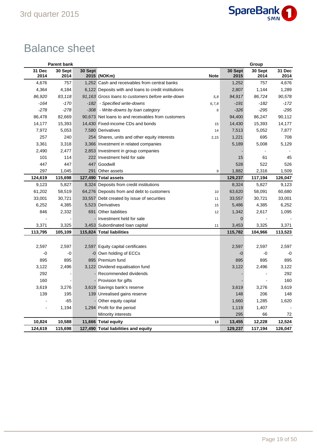

# Balance sheet

|                | <b>Parent bank</b> |         |                                                      |             |                 | Group           |                |
|----------------|--------------------|---------|------------------------------------------------------|-------------|-----------------|-----------------|----------------|
| 31 Dec<br>2014 | 30 Sept<br>2014    | 30 Sept | 2015 (NOKm)                                          | <b>Note</b> | 30 Sept<br>2015 | 30 Sept<br>2014 | 31 Dec<br>2014 |
| 4,676          | 757                |         | 1,252 Cash and receivables from central banks        |             | 1,252           | 757             | 4,676          |
| 4,364          | 4,184              |         | 6,122 Deposits with and loans to credit institutions |             | 2,807           | 1,144           | 1,289          |
| 86,920         | 83,118             |         | 91,163 Gross loans to customers before write-down    | 5,8         | 94,917          | 86,724          | 90,578         |
| $-164$         | $-170$             | $-182$  | - Specified write-downs                              | 6, 7, 8     | $-191$          | $-182$          | $-172$         |
| $-278$         | $-278$             |         | -308 - Write-downs by loan category                  | 6           | $-326$          | $-295$          | $-295$         |
| 86,478         | 82,669             |         | 90,673 Net loans to and receivables from customers   |             | 94,400          | 86,247          | 90,112         |
| 14,177         | 15,393             |         | 14,430 Fixed-income CDs and bonds                    | 15          | 14,430          | 15,393          | 14,177         |
| 7,972          | 5,053              |         | 7,580 Derivatives                                    | 14          | 7,513           | 5,052           | 7,877          |
| 257            | 240                |         | 254 Shares, units and other equity interests         | 2,15        | 1,221           | 695             | 708            |
| 3,361          | 3,318              |         | 3,366 Investment in related companies                |             | 5,189           | 5,008           | 5,129          |
| 2,490          | 2,477              |         | 2,853 Investment in group companies                  |             |                 |                 |                |
| 101            | 114                |         | 222 Investment held for sale                         |             | 15              | 61              | 45             |
| 447            | 447                |         | 447 Goodwill                                         |             | 528             | 522             | 526            |
| 297            | 1,045              | 291     | Other assets                                         | 9           | 1,882           | 2,316           | 1,509          |
| 124,619        | 115,698            |         | 127,490 Total assets                                 |             | 129,237         | 117,194         | 126,047        |
| 9,123          | 5,827              |         | 8,324 Deposits from credit institutions              |             | 8,324           | 5,827           | 9,123          |
| 61,202         | 58,519             |         | 64,276 Deposits from and debt to customers           | 10          | 63,620          | 58,091          | 60,680         |
| 33,001         | 30,721             |         | 33,557 Debt created by issue of securities           | 11          | 33,557          | 30,721          | 33,001         |
| 6,252          | 4,385              |         | 5,523 Derivatives                                    | 15          | 5,486           | 4,385           | 6,252          |
| 846            | 2,332              |         | 691 Other liabilities                                | 12          | 1,342           | 2,617           | 1,095          |
|                |                    |         | - Investment held for sale                           |             | $\mathbf 0$     |                 |                |
| 3,371          | 3,325              |         | 3,453 Subordinated loan capital                      | 11          | 3,453           | 3,325           | 3,371          |
| 113,795        | 105,109            |         | 115,824 Total liabilities                            |             | 115,782         | 104,966         | 113,523        |
|                |                    |         |                                                      |             |                 |                 |                |
| 2,597          | 2,597              |         | 2,597 Equity capital certificates                    |             | 2,597           | 2,597           | 2,597          |
| -0             | -0                 |         | -0 Own holding of ECCs                               |             | $-0$            | -0              | $-0$           |
| 895            | 895                |         | 895 Premium fund                                     |             | 895             | 895             | 895            |
| 3,122          | 2,496              |         | 3,122 Dividend equalisation fund                     |             | 3,122           | 2,496           | 3,122          |
| 292            |                    |         | Recommended dividends                                |             |                 |                 | 292            |
| 160            |                    |         | Provision for gifts                                  |             |                 |                 | 160            |
| 3,619          | 3,276              |         | 3,619 Savings bank's reserve                         |             | 3,619           | 3,276           | 3,619          |
| 139            | 195                |         | 139 Unrealised gains reserve                         |             | 148             | 206             | 148            |
|                | $-65$              |         | - Other equity capital                               |             | 1,660           | 1,285           | 1,620          |
| $\overline{a}$ | 1,194              |         | 1,294 Profit for the period                          |             | 1,119           | 1,407           |                |
|                |                    |         | Minority interests                                   |             | 295             | 66              | 72             |
| 10,824         | 10,588             |         | 11,666 Total equity                                  | 13          | 13,455          | 12,228          | 12,524         |
| 124,619        | 115,698            |         | 127,490 Total liabilities and equity                 |             | 129,237         | 117,194         | 126,047        |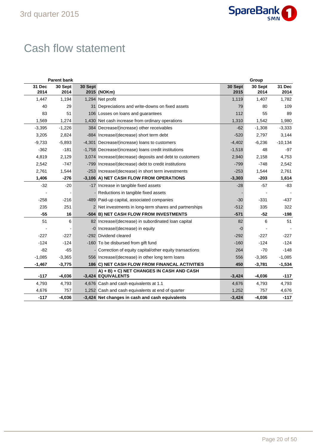

# Cash flow statement

| <b>Parent bank</b> |                 |         |                                                                 |                 | Group           |                |
|--------------------|-----------------|---------|-----------------------------------------------------------------|-----------------|-----------------|----------------|
| 31 Dec<br>2014     | 30 Sept<br>2014 | 30 Sept | 2015 (NOKm)                                                     | 30 Sept<br>2015 | 30 Sept<br>2014 | 31 Dec<br>2014 |
| 1,447              | 1,194           |         | 1,294 Net profit                                                | 1,119           | 1,407           | 1,782          |
| 40                 | 29              |         | 31 Depreciations and write-downs on fixed assets                | 79              | 80              | 109            |
| 83                 | 51              |         | 106 Losses on loans and guarantees                              | 112             | 55              | 89             |
| 1,569              | 1,274           |         | 1,430 Net cash increase from ordinary operations                | 1,310           | 1,542           | 1,980          |
| $-3,395$           | $-1,226$        |         | 384 Decrease/(increase) other receivables                       | $-62$           | $-1,308$        | $-3,333$       |
| 3,205              | 2,824           |         | -884 Increase/(decrease) short term debt                        | $-520$          | 2,797           | 3,144          |
| $-9,733$           | $-5,893$        |         | -4,301 Decrease/(increase) loans to customers                   | $-4,402$        | $-6,236$        | $-10,134$      |
| $-362$             | $-181$          |         | -1,758 Decrease/(increase) loans credit institutions            | $-1,518$        | 48              | $-97$          |
| 4,819              | 2,129           |         | 3,074 Increase/(decrease) deposits and debt to customers        | 2,940           | 2,158           | 4,753          |
| 2,542              | $-747$          |         | -799 Increase/(decrease) debt to credit institutions            | $-799$          | $-748$          | 2,542          |
| 2,761              | 1,544           |         | -253 Increase/(decrease) in short term investments              | $-253$          | 1,544           | 2,761          |
| 1,406              | $-276$          |         | -3,106 A) NET CASH FLOW FROM OPERATIONS                         | $-3,303$        | $-203$          | 1,614          |
| $-32$              | $-20$           |         | -17 Increase in tangible fixed assets                           | $-28$           | $-57$           | $-83$          |
|                    |                 |         | Reductions in tangible fixed assets                             |                 |                 |                |
| $-258$             | $-216$          |         | -489 Paid-up capital, associated companies                      | $-30$           | $-331$          | $-437$         |
| 235                | 251             |         | 2 Net investments in long-term shares and partnerships          | $-512$          | 335             | 322            |
| $-55$              | 16              |         | -504 B) NET CASH FLOW FROM INVESTMENTS                          | $-571$          | $-52$           | $-198$         |
| 51                 | 6               |         | 82 Increase/(decrease) in subordinated loan capital             | 82              | 6               | 51             |
|                    |                 |         | -0 Increase/(decrease) in equity                                | $-0$            |                 |                |
| $-227$             | $-227$          |         | -292 Dividend cleared                                           | $-292$          | $-227$          | $-227$         |
| $-124$             | $-124$          |         | -160 To be disbursed from gift fund                             | $-160$          | $-124$          | $-124$         |
| $-82$              | $-65$           |         | Correction of equity capital/other equity transactions          | 264             | $-70$           | $-148$         |
| $-1,085$           | $-3,365$        |         | 556 Increase/(decrease) in other long term loans                | 556             | $-3,365$        | $-1,085$       |
| $-1,467$           | $-3,775$        |         | 186 C) NET CASH FLOW FROM FINANCAL ACTIVITIES                   | 450             | $-3,781$        | $-1,534$       |
| $-117$             | $-4,036$        |         | A) + B) + C) NET CHANGES IN CASH AND CASH<br>-3,424 EQUIVALENTS | $-3,424$        | $-4,036$        | $-117$         |
| 4,793              | 4,793           |         | 4,676 Cash and cash equivalents at 1.1                          | 4,676           | 4,793           | 4,793          |
| 4,676              | 757             |         | 1,252 Cash and cash equivalents at end of quarter               | 1,252           | 757             | 4,676          |
| $-117$             | $-4,036$        |         | -3,424 Net changes in cash and cash equivalents                 | $-3,424$        | $-4,036$        | $-117$         |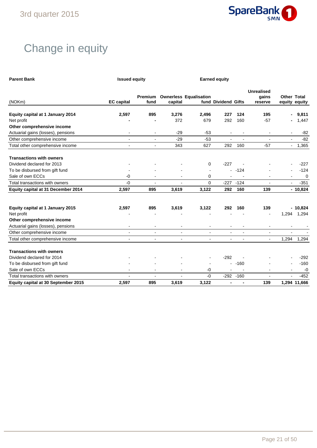

# Change in equity

| <b>Parent Bank</b>                             | <b>Issued equity</b> |                 | <b>Earned equity</b>     |                               |                          |                |                                       |                |                                     |
|------------------------------------------------|----------------------|-----------------|--------------------------|-------------------------------|--------------------------|----------------|---------------------------------------|----------------|-------------------------------------|
| (NOKm)                                         | <b>EC</b> capital    | Premium<br>fund | capital                  | <b>Ownerless Equalisation</b> | fund Dividend Gifts      |                | <b>Unrealised</b><br>gains<br>reserve |                | <b>Other Total</b><br>equity equity |
| Equity capital at 1 January 2014               | 2,597                | 895             | 3,276                    | 2,496                         | 227                      | 124            | 195                                   | ۰              | 9,811                               |
| Net profit                                     |                      |                 | 372                      | 679                           | 292                      | 160            | $-57$                                 |                | 1,447                               |
| Other comprehensive income                     |                      |                 |                          |                               |                          |                |                                       |                |                                     |
| Actuarial gains (losses), pensions             |                      |                 | $-29$                    | $-53$                         |                          |                |                                       |                | $-82$                               |
| Other comprehensive income                     | $\blacksquare$       | $\blacksquare$  | $-29$                    | $-53$                         | $\blacksquare$           | $\blacksquare$ | $\overline{\phantom{a}}$              | $\blacksquare$ | $-82$                               |
| Total other comprehensive income               | $\overline{a}$       | $\blacksquare$  | 343                      | 627                           | 292                      | 160            | $-57$                                 | $\blacksquare$ | 1,365                               |
| <b>Transactions with owners</b>                |                      |                 |                          |                               |                          |                |                                       |                |                                     |
| Dividend declared for 2013                     |                      |                 |                          | 0                             | $-227$                   |                |                                       |                | $-227$                              |
| To be disbursed from gift fund                 |                      |                 |                          | $\blacksquare$                | $\blacksquare$           | $-124$         |                                       |                | $-124$                              |
| Sale of own ECCs                               | $-0$                 |                 |                          | 0                             |                          |                |                                       | $\blacksquare$ | $\mathbf 0$                         |
| Total transactions with owners                 | $-0$                 |                 |                          | 0                             | $-227$                   | $-124$         |                                       |                | $-351$                              |
| Equity capital at 31 December 2014             | 2,597                | 895             | 3,619                    | 3,122                         | 292                      | 160            | 139                                   |                | $-10,824$                           |
| Equity capital at 1 January 2015<br>Net profit | 2,597                | 895             | 3,619                    | 3,122                         | 292                      | 160            | 139                                   | 1,294          | $-10,824$<br>1,294                  |
| Other comprehensive income                     |                      |                 |                          |                               |                          |                |                                       |                |                                     |
| Actuarial gains (losses), pensions             | ۰                    |                 | $\overline{\phantom{a}}$ | $\blacksquare$                |                          |                |                                       |                |                                     |
| Other comprehensive income                     | $\overline{a}$       | $\mathbf{r}$    | $\overline{a}$           | $\blacksquare$                |                          |                |                                       |                |                                     |
| Total other comprehensive income               | $\blacksquare$       | $\blacksquare$  | $\blacksquare$           | $\overline{\phantom{a}}$      | $\overline{\phantom{a}}$ |                |                                       | 1,294          | 1,294                               |
| <b>Transactions with owners</b>                |                      |                 |                          |                               |                          |                |                                       |                |                                     |
| Dividend declared for 2014                     |                      |                 |                          |                               | $-292$                   |                |                                       |                | $-292$                              |
| To be disbursed from gift fund                 |                      |                 |                          |                               | $\blacksquare$           | $-160$         |                                       |                | $-160$                              |
| Sale of own ECCs                               |                      |                 |                          | -0                            |                          |                |                                       |                | $-0$                                |
| Total transactions with owners                 | $\blacksquare$       | $\overline{a}$  | $\blacksquare$           | $-0$                          |                          | $-292 - 160$   | $\overline{a}$                        |                | $-452$                              |
| Equity capital at 30 September 2015            | 2,597                | 895             | 3,619                    | 3,122                         | $\blacksquare$           |                | 139                                   |                | 1,294 11,666                        |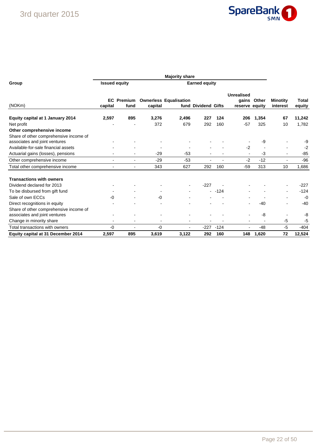

| Group                                   | <b>Issued equity</b> |                        |         | <b>Earned equity</b>          |                     |        |                                       |       |                             |                 |
|-----------------------------------------|----------------------|------------------------|---------|-------------------------------|---------------------|--------|---------------------------------------|-------|-----------------------------|-----------------|
| (NOKm)                                  | <b>EC</b><br>capital | <b>Premium</b><br>fund | capital | <b>Ownerless Equalisation</b> | fund Dividend Gifts |        | Unrealised<br>qains<br>reserve equity | Other | <b>Minotity</b><br>interest | Total<br>equity |
| <b>Equity capital at 1 January 2014</b> | 2,597                | 895                    | 3.276   | 2,496                         | 227                 | 124    | 206                                   | 1,354 | 67                          | 11,242          |
| Net profit                              |                      |                        | 372     | 679                           | 292                 | 160    | $-57$                                 | 325   | 10                          | 1,782           |
| Other comprehensive income              |                      |                        |         |                               |                     |        |                                       |       |                             |                 |
| Share of other comprehensive income of  |                      |                        |         |                               |                     |        |                                       |       |                             |                 |
| associates and joint ventures           |                      |                        |         |                               |                     |        |                                       | -9    |                             | -9              |
| Available-for-sale financial assets     |                      |                        |         |                               |                     |        | $-2$                                  |       |                             | $-2$            |
| Actuarial gains (losses), pensions      |                      |                        | $-29$   | $-53$                         |                     |        |                                       | $-3$  | $\blacksquare$              | $-85$           |
| Other comprehensive income              |                      |                        | $-29$   | $-53$                         |                     |        | $-2$                                  | $-12$ |                             | $-96$           |
| Total other comprehensive income        |                      |                        | 343     | 627                           | 292                 | 160    | $-59$                                 | 313   | 10                          | 1,686           |
| <b>Transactions with owners</b>         |                      |                        |         |                               |                     |        |                                       |       |                             |                 |
| Dividend declared for 2013              |                      |                        |         |                               | $-227$              |        |                                       |       |                             | $-227$          |
| To be disbursed from gift fund          |                      |                        |         |                               |                     | $-124$ |                                       |       |                             | $-124$          |
| Sale of own ECCs                        | -0                   |                        | $-0$    |                               |                     |        |                                       |       |                             | $-0$            |
| Direct recognitions in equity           |                      |                        |         |                               |                     |        |                                       | -40   |                             | $-40$           |
| Share of other comprehensive income of  |                      |                        |         |                               |                     |        |                                       |       |                             |                 |
| associates and joint ventures           |                      |                        |         |                               |                     |        |                                       | -8    |                             | -8              |
| Change in minority share                | $\blacksquare$       |                        |         | $\blacksquare$                |                     |        |                                       |       | $-5$                        | -5              |
| Total transactions with owners          | -0                   |                        | -0      | $\blacksquare$                | $-227$              | $-124$ |                                       | -48   | $-5$                        | $-404$          |
| Equity capital at 31 December 2014      | 2,597                | 895                    | 3,619   | 3,122                         | 292                 | 160    | 148                                   | 1,620 | 72                          | 12,524          |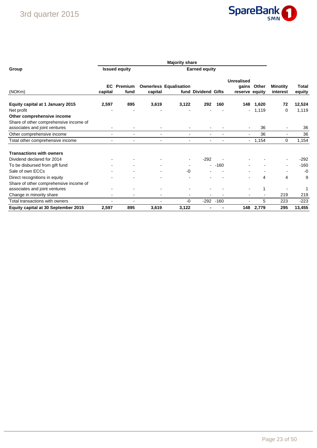

| Group                                                                |                | <b>Issued equity</b>     |                |                               |                     |        |                                              |                |                             |                 |
|----------------------------------------------------------------------|----------------|--------------------------|----------------|-------------------------------|---------------------|--------|----------------------------------------------|----------------|-----------------------------|-----------------|
| (NOKm)                                                               | EC.<br>capital | Premium<br>fund          | capital        | <b>Ownerless Equalisation</b> | fund Dividend Gifts |        | <b>Unrealised</b><br>qains<br>reserve equity | Other          | <b>Minotity</b><br>interest | Total<br>equity |
| Equity capital at 1 January 2015<br>Net profit                       | 2,597          | 895                      | 3,619          | 3,122                         | 292                 | 160    | 148                                          | 1,620<br>1,119 | 72<br>$\Omega$              | 12,524<br>1,119 |
| Other comprehensive income<br>Share of other comprehensive income of |                |                          |                |                               |                     |        |                                              |                |                             |                 |
| associates and joint ventures                                        |                | $\blacksquare$           |                |                               |                     |        |                                              | 36<br>36       |                             | 36<br>36        |
| Other comprehensive income                                           |                |                          |                | $\blacksquare$                | $\blacksquare$      |        | $\overline{\phantom{0}}$                     |                | $\blacksquare$              |                 |
| Total other comprehensive income                                     |                |                          |                |                               |                     |        |                                              | $-1,154$       | 0                           | 1,154           |
| <b>Transactions with owners</b>                                      |                |                          |                |                               |                     |        |                                              |                |                             |                 |
| Dividend declared for 2014                                           |                |                          |                |                               | $-292$              |        |                                              |                |                             | $-292$          |
| To be disbursed from gift fund                                       |                | $\overline{\phantom{a}}$ | $\blacksquare$ |                               |                     | $-160$ |                                              |                | $\blacksquare$              | $-160$          |
| Sale of own ECCs                                                     |                | ۰                        |                | -0                            |                     |        |                                              |                |                             | $-0$            |
| Direct recognitions in equity                                        |                |                          |                |                               |                     |        |                                              | 4              | 4                           | 9               |
| Share of other comprehensive income of                               |                |                          |                |                               |                     |        |                                              |                |                             |                 |
| associates and joint ventures                                        |                |                          |                |                               |                     |        |                                              |                |                             | 1               |
| Change in minority share                                             |                |                          |                | $\overline{\phantom{0}}$      |                     |        |                                              |                | 219                         | 219             |
| Total transactions with owners                                       |                | $\blacksquare$           |                | -0                            | $-292$              | $-160$ |                                              | 5              | 223                         | $-223$          |
| Equity capital at 30 September 2015                                  | 2,597          | 895                      | 3,619          | 3,122                         |                     |        | 148                                          | 2,779          | 295                         | 13,455          |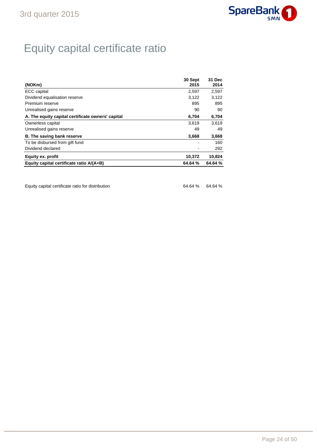

# Equity capital certificate ratio

| (NOKm)                                            | 30 Sept<br>2015 | 31 Dec<br>2014 |
|---------------------------------------------------|-----------------|----------------|
| ECC capital                                       | 2,597           | 2,597          |
| Dividend equalisation reserve                     | 3,122           | 3,122          |
| Premium reserve                                   | 895             | 895            |
| Unrealised gains reserve                          | 90              | 90             |
| A. The equity capital certificate owners' capital | 6,704           | 6,704          |
| Ownerless capital                                 | 3.619           | 3,619          |
| Unrealised gains reserve                          | 49              | 49             |
| <b>B.</b> The saving bank reserve                 | 3,668           | 3,668          |
| To be disbursed from gift fund                    |                 | 160            |
| Dividend declared                                 |                 | 292            |
| <b>Equity ex. profit</b>                          | 10,372          | 10,824         |
| Equity capital certificate ratio $A/(A+B)$        | 64.64 %         | 64.64 %        |

Equity capital certificate ratio for distribution 64.64 % 64.64 %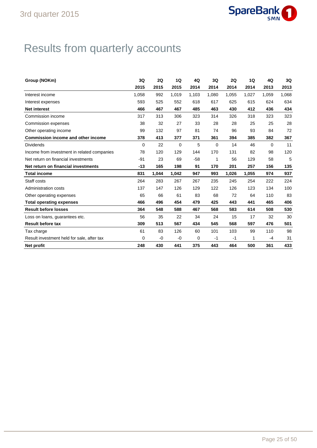

# Results from quarterly accounts

| Group (NOKm)                                | 3Q          | 2Q    | 1Q          | 4Q    | 3Q          | 2Q    | 1Q    | 4Q       | 3Q    |
|---------------------------------------------|-------------|-------|-------------|-------|-------------|-------|-------|----------|-------|
|                                             | 2015        | 2015  | 2015        | 2014  | 2014        | 2014  | 2014  | 2013     | 2013  |
| Interest income                             | 1.058       | 992   | 1,019       | 1,103 | 1,080       | 1.055 | 1,027 | 1.059    | 1,068 |
| Interest expenses                           | 593         | 525   | 552         | 618   | 617         | 625   | 615   | 624      | 634   |
| <b>Net interest</b>                         | 466         | 467   | 467         | 485   | 463         | 430   | 412   | 436      | 434   |
| Commission income                           | 317         | 313   | 306         | 323   | 314         | 326   | 318   | 323      | 323   |
| Commission expenses                         | 38          | 32    | 27          | 33    | 28          | 28    | 25    | 25       | 28    |
| Other operating income                      | 99          | 132   | 97          | 81    | 74          | 96    | 93    | 84       | 72    |
| <b>Commission income and other income</b>   | 378         | 413   | 377         | 371   | 361         | 394   | 385   | 382      | 367   |
| <b>Dividends</b>                            | $\mathbf 0$ | 22    | $\mathbf 0$ | 5     | $\mathbf 0$ | 14    | 46    | $\Omega$ | 11    |
| Income from investment in related companies | 78          | 120   | 129         | 144   | 170         | 131   | 82    | 98       | 120   |
| Net return on financial investments         | $-91$       | 23    | 69          | $-58$ | 1           | 56    | 129   | 58       | 5     |
| Net return on financial investments         | -13         | 165   | 198         | 91    | 170         | 201   | 257   | 156      | 135   |
| <b>Total income</b>                         | 831         | 1,044 | 1,042       | 947   | 993         | 1.026 | 1,055 | 974      | 937   |
| Staff costs                                 | 264         | 283   | 267         | 267   | 235         | 245   | 254   | 222      | 224   |
| Administration costs                        | 137         | 147   | 126         | 129   | 122         | 126   | 123   | 134      | 100   |
| Other operating expenses                    | 65          | 66    | 61          | 83    | 68          | 72    | 64    | 110      | 83    |
| <b>Total operating expenses</b>             | 466         | 496   | 454         | 479   | 425         | 443   | 441   | 465      | 406   |
| <b>Result before losses</b>                 | 364         | 548   | 588         | 467   | 568         | 583   | 614   | 508      | 530   |
| Loss on loans, guarantees etc.              | 56          | 35    | 22          | 34    | 24          | 15    | 17    | 32       | 30    |
| <b>Result before tax</b>                    | 309         | 513   | 567         | 434   | 545         | 568   | 597   | 476      | 501   |
| Tax charge                                  | 61          | 83    | 126         | 60    | 101         | 103   | 99    | 110      | 98    |
| Result investment held for sale, after tax  | 0           | -0    | -0          | 0     | $-1$        | $-1$  | 1     | -4       | 31    |
| Net profit                                  | 248         | 430   | 441         | 375   | 443         | 464   | 500   | 361      | 433   |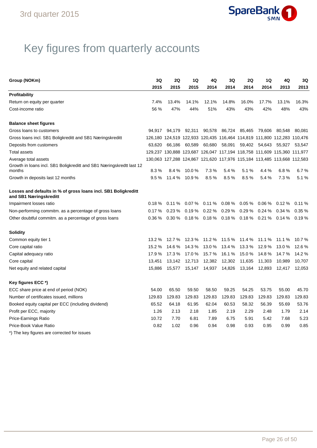

# Key figures from quarterly accounts

| Group (NOKm)                                                                             | 3Q     | 2Q     | 1Q     | 4Q     | 3Q     | 2Q     | 1Q                                                                      | 4Q     | 3Q     |
|------------------------------------------------------------------------------------------|--------|--------|--------|--------|--------|--------|-------------------------------------------------------------------------|--------|--------|
|                                                                                          | 2015   | 2015   | 2015   | 2014   | 2014   | 2014   | 2014                                                                    | 2013   | 2013   |
| <b>Profitability</b>                                                                     |        |        |        |        |        |        |                                                                         |        |        |
| Return on equity per quarter                                                             | 7.4%   | 13.4%  | 14.1%  | 12.1%  | 14.8%  | 16.0%  | 17.7%                                                                   | 13.1%  | 16.3%  |
| Cost-income ratio                                                                        | 56 %   | 47%    | 44%    | 51%    | 43%    | 43%    | 42%                                                                     | 48%    | 43%    |
| <b>Balance sheet figures</b>                                                             |        |        |        |        |        |        |                                                                         |        |        |
| Gross loans to customers                                                                 | 94.917 | 94,179 | 92,311 | 90,578 | 86,724 |        | 85,465 79,606                                                           | 80,548 | 80,081 |
| Gross loans incl. SB1 Boligkreditt and SB1 Næringskreditt                                |        |        |        |        |        |        | 126,180 124,519 122,933 120,435 116,464 114,819 111,800 112,283 110,476 |        |        |
| Deposits from customers                                                                  | 63,620 | 66,186 | 60,589 | 60,680 |        |        | 58,091 59,402 54,643                                                    | 55,927 | 53,547 |
| <b>Total assets</b>                                                                      |        |        |        |        |        |        | 129,237 130,888 123,687 126,047 117,194 118,758 111,609 115,360 111,977 |        |        |
| Average total assets                                                                     |        |        |        |        |        |        | 130,063 127,288 124,867 121,620 117,976 115,184 113,485 113,668 112,583 |        |        |
| Growth in Ioans incl. SB1 Boligkreditt and SB1 Næringskredtt last 12                     |        |        |        |        |        |        |                                                                         |        |        |
| months                                                                                   | 8.3%   | 8.4%   | 10.0%  | 7.3%   | 5.4 %  | 5.1%   | 4.4 %                                                                   | 6.8%   | 6.7%   |
| Growth in deposits last 12 months                                                        | 9.5%   | 11.4 % | 10.9%  | 8.5%   | 8.5%   | 8.5%   | 5.4%                                                                    | 7.3%   | 5.1%   |
| Losses and defaults in % of gross loans incl. SB1 Boligkreditt<br>and SB1 Næringskreditt |        |        |        |        |        |        |                                                                         |        |        |
| Impairment losses ratio                                                                  | 0.18%  | 0.11%  | 0.07%  | 0.11%  | 0.08%  | 0.05%  | $0.06\%$                                                                | 0.12%  | 0.11%  |
| Non-performing commitm. as a percentage of gross loans                                   | 0.17%  | 0.23%  | 0.19%  | 0.22%  | 0.29%  | 0.29%  | 0.24%                                                                   | 0.34%  | 0.35%  |
| Other doubtful commitm. as a percentage of gross loans                                   | 0.36 % | 0.30%  |        |        |        |        | $0.18\%$ 0.18% 0.18% 0.18% 0.21%                                        | 0.14 % | 0.19%  |
| <b>Solidity</b>                                                                          |        |        |        |        |        |        |                                                                         |        |        |
| Common equity tier 1                                                                     | 13.2%  | 12.7 % | 12.3 % | 11.2 % | 11.5 % | 11.4 % | 11.1 %                                                                  | 11.1 % | 10.7 % |
| Core capital ratio                                                                       | 15.2 % | 14.6 % | 14.3 % | 13.0%  | 13.4 % | 13.3 % | 12.9 %                                                                  | 13.0 % | 12.6 % |
| Capital adequacy ratio                                                                   | 17.9 % | 17.3 % | 17.0 % | 15.7 % | 16.1 % | 15.0%  | 14.8 %                                                                  | 14.7 % | 14.2 % |
| Core capital                                                                             | 13,451 | 13,142 | 12,713 | 12,382 | 12,302 | 11,635 | 11,303                                                                  | 10,989 | 10,707 |
| Net equity and related capital                                                           | 15,886 | 15,577 | 15,147 | 14,937 | 14,826 | 13,164 | 12,893                                                                  | 12,417 | 12,053 |
| Key figures ECC *)                                                                       |        |        |        |        |        |        |                                                                         |        |        |
| ECC share price at end of period (NOK)                                                   | 54.00  | 65.50  | 59.50  | 58.50  | 59.25  | 54.25  | 53.75                                                                   | 55.00  | 45.70  |
| Number of certificates issued, millions                                                  | 129.83 | 129.83 | 129.83 | 129.83 | 129.83 | 129.83 | 129.83                                                                  | 129.83 | 129.83 |
| Booked equity capital per ECC (including dividend)                                       | 65.52  | 64.18  | 61.95  | 62.04  | 60.53  | 58.32  | 56.39                                                                   | 55.69  | 53.76  |
| Profit per ECC, majority                                                                 | 1.26   | 2.13   | 2.18   | 1.85   | 2.19   | 2.29   | 2.48                                                                    | 1.79   | 2.14   |
| Price-Earnings Ratio                                                                     | 10.72  | 7.70   | 6.81   | 7.89   | 6.75   | 5.91   | 5.42                                                                    | 7.68   | 5.23   |
| Price-Book Value Ratio                                                                   | 0.82   | 1.02   | 0.96   | 0.94   | 0.98   | 0.93   | 0.95                                                                    | 0.99   | 0.85   |
| *) The key figures are corrected for issues                                              |        |        |        |        |        |        |                                                                         |        |        |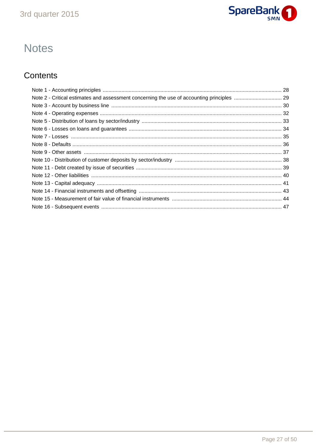

## **Notes**

## Contents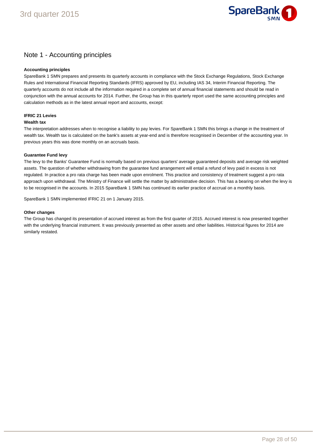

## Note 1 - Accounting principles

#### **Accounting principles**

SpareBank 1 SMN prepares and presents its quarterly accounts in compliance with the Stock Exchange Regulations, Stock Exchange Rules and International Financial Reporting Standards (IFRS) approved by EU, including IAS 34, Interim Financial Reporting. The quarterly accounts do not include all the information required in a complete set of annual financial statements and should be read in conjunction with the annual accounts for 2014. Further, the Group has in this quarterly report used the same accounting principles and calculation methods as in the latest annual report and accounts, except:

### **IFRIC 21 Levies**

#### **Wealth tax**

The interpretation addresses when to recognise a liability to pay levies. For SpareBank 1 SMN this brings a change in the treatment of wealth tax. Wealth tax is calculated on the bank's assets at year-end and is therefore recognised in December of the accounting year. In previous years this was done monthly on an accruals basis.

#### **Guarantee Fund levy**

The levy to the Banks' Guarantee Fund is normally based on previous quarters' average guaranteed deposits and average risk weighted assets. The question of whether withdrawing from the guarantee fund arrangement will entail a refund of levy paid in excess is not regulated. In practice a pro rata charge has been made upon enrolment. This practice and consistency of treatment suggest a pro rata approach upon withdrawal. The Ministry of Finance will settle the matter by administrative decision. This has a bearing on when the levy is to be recognised in the accounts. In 2015 SpareBank 1 SMN has continued its earlier practice of accrual on a monthly basis.

SpareBank 1 SMN implemented IFRIC 21 on 1 January 2015.

#### **Other changes**

The Group has changed its presentation of accrued interest as from the first quarter of 2015. Accrued interest is now presented together with the underlying financial instrument. It was previously presented as other assets and other liabilities. Historical figures for 2014 are similarly restated.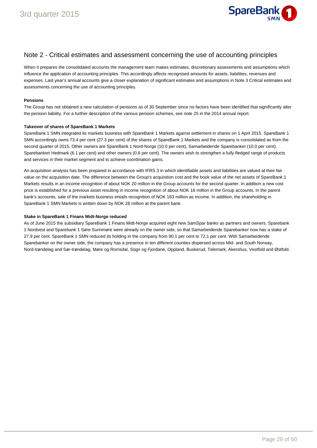

## Note 2 - Critical estimates and assessment concerning the use of accounting principles

When it prepares the consolidated accounts the management team makes estimates, discretionary assessments and assumptions which influence the application of accounting principles. This accordingly affects recognised amounts for assets, liabilities, revenues and expenses. Last year's annual accounts give a closer explanation of significant estimates and assumptions in Note 3 Critical estimates and assessments concerning the use of accounting principles.

#### **Pensions**

The Group has not obtained a new calculation of pensions as of 30 September since no factors have been identified that significantly alter the pension liability. For a further description of the various pension schemes, see note 25 in the 2014 annual report.

#### **Takeover of shares of SpareBank 1 Markets**

SpareBank 1 SMN integrated its markets business with SpareBank 1 Markets against settlement in shares on 1 April 2015. SpareBank 1 SMN accordingly owns 73.4 per cent (27.3 per cent) of the shares of SpareBank 1 Markets and the company is consolidated as from the second quarter of 2015. Other owners are SpareBank 1 Nord-Norge (10.0 per cent), Samarbeidende Sparebanker (10.0 per cent), Sparebanken Hedmark (6.1 per cent) and other owners (0.6 per cent). The owners wish to strengthen a fully-fledged range of products and services in their market segment and to achieve coordination gains.

An acquisition analysis has been prepared in accordance with IFRS 3 in which identifiable assets and liabilities are valued at their fair value on the acquisition date. The difference between the Group's acquisition cost and the book value of the net assets of SpareBank 1 Markets results in an income recognition of about NOK 20 million in the Group accounts for the second quarter. In addition a new cost price is established for a previous asset resulting in income recognition of about NOK 16 million in the Group accounts. In the parent bank's accounts, sale of the markets business entails recognition of NOK 183 million as income. In addition, the shareholding in SpareBank 1 SMN Markets is written down by NOK 28 million at the parent bank.

#### **Stake in SpareBank 1 Finans Midt-Norge reduced**

As of June 2015 the subsidiary SpareBank 1 Finans Midt-Norge acquired eight new SamSpar banks as partners and owners. Sparebank 1 Nordvest and Sparebank 1 Søre Sunnmøre were already on the owner side, so that Samarbeidende Sparebanker now has a stake of 27.9 per cent. SpareBank 1 SMN reduced its holding in the company from 90.1 per cent to 72.1 per cent. With Samarbeidende Sparebanker on the owner side, the company has a presence in ten different counties dispersed across Mid- and South Norway, Nord-trøndelag and Sør-trøndelag, Møre og Romsdal, Sogn og Fjordane, Oppland, Buskerud, Telemark, Akershus, Vestfold and Østfold.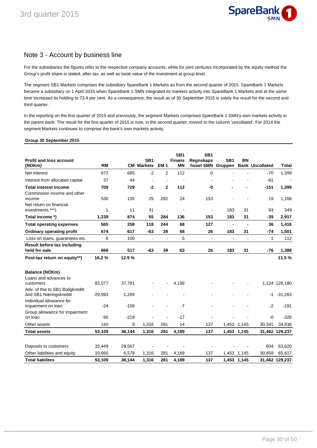

## Note 3 - Account by business line

For the subsidiaries the figures refer to the respective company accounts, while for joint ventures incorporated by the equity method the Group's profit share is stated, after tax, as well as book value of the investment at group level.

The segment SB1 Markets comprises the subsidiary SpareBank 1 Markets as from the second quarter of 2015. SpareBank 1 Markets became a subsidiary on 1 April 2015 when SpareBank 1 SMN integrated its markets activity into SpareBank 1 Markets and at the same time increased its holding to 73.4 per cent. As a consequence, the result as of 30 September 2015 is solely the result for the second and third quarter.

In the reporting on the first quarter of 2015 and previously, the segment Markets comprised SpareBank 1 SMN's own markets activity in the parent bank. The result for the first quarter of 2015 is now, in the second quarter, moved to the column 'uncollated'. For 2014 the segment Markets continues to comprise the bank's own markets activity.

### **Group 30 September 2015**

| Profit and loss account<br>(NOKm)                           | <b>RM</b> |          | SB <sub>1</sub><br><b>CM Markets</b> | EM <sub>1</sub>          | SB <sub>1</sub><br><b>Finans</b><br><b>MN</b> | SB <sub>1</sub><br><b>Regnskaps</b><br>huset SMN Gruppen | SB <sub>1</sub> | <b>BN</b>                | <b>Bank Uncollated</b> | <b>Total</b>   |
|-------------------------------------------------------------|-----------|----------|--------------------------------------|--------------------------|-----------------------------------------------|----------------------------------------------------------|-----------------|--------------------------|------------------------|----------------|
| Net interest                                                | 672       | 685      | $-2$                                 | $\overline{2}$           | 112                                           | $-0$                                                     |                 |                          | $-70$                  | 1,399          |
| Interest from allocated capital                             | 37        | 44       | $\blacksquare$                       | $\blacksquare$           |                                               |                                                          |                 |                          | $-81$                  |                |
| <b>Total interest income</b><br>Commission income and other | 709       | 729      | $-2$                                 | $\overline{2}$           | 112                                           | -0                                                       |                 |                          | $-151$                 | 1,399          |
| income<br>Net return on financial                           | 530       | 135      | 25                                   | 282                      | 24                                            | 153                                                      |                 |                          | 19                     | 1,168          |
| investments ***)                                            | 1         | 11       | 31                                   | $\overline{\phantom{a}}$ |                                               | $\blacksquare$                                           | 183             | 31                       | 93                     | 349            |
| Total income *)                                             | 1,239     | 874      | 55                                   | 284                      | 136                                           | 153                                                      | 183             | 31                       | $-39$                  | 2,917          |
| <b>Total operating expenses</b>                             | 565       | 258      | 118                                  | 244                      | 68                                            | 127                                                      | $\blacksquare$  | $\blacksquare$           | 36                     | 1,416          |
| <b>Ordinary operating profit</b>                            | 674       | 617      | $-63$                                | 39                       | 68                                            | 26                                                       | 183             | 31                       | $-74$                  | 1,501          |
| Loss on loans, guarantees etc.                              | 6         | 100      | $\blacksquare$                       | $\blacksquare$           | 5                                             | $\overline{\phantom{a}}$                                 | $\blacksquare$  | $\overline{\phantom{a}}$ | 1                      | 112            |
| Result before tax including<br>held for sale                | 668       | 517      | $-63$                                | 39                       | 63                                            | 26                                                       | 183             | 31                       | $-76$                  | 1,388          |
| Post-tax return on equity**)                                | 16.2%     | 12.9%    |                                      |                          |                                               |                                                          |                 |                          |                        | 11.5%          |
| <b>Balance (NOKm)</b>                                       |           |          |                                      |                          |                                               |                                                          |                 |                          |                        |                |
| Loans and advances to<br>customers                          | 83,077    | 37,781   |                                      |                          | 4,199                                         |                                                          |                 |                          |                        | 1,124 126,180  |
| Adv. of this to SB1 Boligkreditt<br>and SB1 Næringskreditt  | $-29,993$ | $-1,269$ |                                      |                          |                                               |                                                          |                 |                          | -1                     | $-31,263$      |
| Individual allowance for<br>impairment on loan              | $-24$     | $-158$   |                                      |                          | $-7$                                          |                                                          |                 |                          | $-2$                   | $-191$         |
| Group allowance for impairment<br>on loan                   | -90       | $-218$   |                                      |                          | $-17$                                         |                                                          |                 |                          | -0                     | $-326$         |
| Other assets                                                | 140       | 9        | 1,316                                | 281                      | 14                                            | 137                                                      |                 | 1,453 1,145              | 30,341                 | 34,836         |
| <b>Total assets</b>                                         | 53,109    | 36,144   | 1,316                                | 281                      | 4,189                                         | 137                                                      |                 | 1,453 1,145              |                        | 31,462 129,237 |
| Deposits to customers                                       | 33,449    | 29,567   |                                      |                          |                                               |                                                          |                 |                          | 604                    | 63,620         |
| Other liabilities and equity                                | 19,660    | 6,578    | 1,316                                | 281                      | 4,189                                         | 137                                                      |                 | 1,453 1,145              | 30,858                 | 65,617         |
| <b>Total liabilites</b>                                     | 53,109    | 36,144   | 1,316                                | 281                      | 4,189                                         | 137                                                      |                 | 1,453 1,145              |                        | 31,462 129,237 |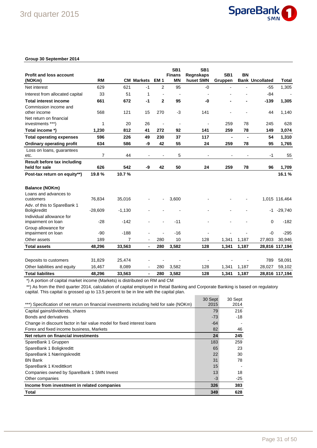

#### **Group 30 September 2014**

|                                                 |                |                |                              |                | SB <sub>1</sub>            | SB <sub>1</sub>        |                            |                |                        |                |
|-------------------------------------------------|----------------|----------------|------------------------------|----------------|----------------------------|------------------------|----------------------------|----------------|------------------------|----------------|
| <b>Profit and loss account</b><br>(NOKm)        | <b>RM</b>      |                | <b>CM Markets</b>            | <b>EM1</b>     | <b>Finans</b><br><b>MN</b> | Regnskaps<br>huset SMN | SB <sub>1</sub><br>Gruppen | <b>BN</b>      | <b>Bank Uncollated</b> | <b>Total</b>   |
| Net interest                                    | 629            | 621            | $-1$                         | 2              | 95                         | $-0$                   |                            |                | $-55$                  | 1,305          |
| Interest from allocated capital                 | 33             | 51             | 1                            | $\overline{a}$ | $\overline{a}$             |                        |                            |                | $-84$                  |                |
| <b>Total interest income</b>                    | 661            | 672            | $-1$                         | $\mathbf 2$    | 95                         | -0                     |                            |                | $-139$                 | 1,305          |
| Commission income and                           |                |                |                              |                |                            |                        |                            |                |                        |                |
| other income                                    | 568            | 121            | 15                           | 270            | $-3$                       | 141                    |                            |                | 44                     | 1,140          |
| Net return on financial                         |                |                |                              |                |                            |                        |                            |                |                        |                |
| investments ***)                                | 1              | 20             | 26                           | $\overline{a}$ | $\overline{a}$             | ÷,                     | 259                        | 78             | 245                    | 628            |
| Total income *)                                 | 1,230          | 812            | 41                           | 272            | 92                         | 141                    | 259                        | 78             | 149                    | 3,074          |
| <b>Total operating expenses</b>                 | 596            | 226            | 49                           | 230            | 37                         | 117                    | $\blacksquare$             | $\blacksquare$ | 54                     | 1,310          |
| <b>Ordinary operating profit</b>                | 634            | 586            | -9                           | 42             | 55                         | 24                     | 259                        | 78             | 95                     | 1,765          |
| Loss on loans, guarantees                       |                |                |                              |                |                            |                        |                            |                |                        |                |
| etc.                                            | $\overline{7}$ | 44             |                              |                | 5                          |                        |                            |                | -1                     | 55             |
| Result before tax including<br>held for sale    | 626            | 542            | -9                           | 42             | 50                         | 24                     | 259                        | 78             | 96                     | 1,709          |
|                                                 |                |                |                              |                |                            |                        |                            |                |                        |                |
| Post-tax return on equity**)                    | 19.8%          | 10.7%          |                              |                |                            |                        |                            |                |                        | 16.1%          |
| <b>Balance (NOKm)</b>                           |                |                |                              |                |                            |                        |                            |                |                        |                |
| Loans and advances to                           |                |                |                              |                |                            |                        |                            |                |                        |                |
| customers                                       | 76,834         | 35,016         |                              |                | 3,600                      |                        |                            |                |                        | 1,015 116,464  |
| Adv. of this to SpareBank 1                     |                |                |                              |                |                            |                        |                            |                |                        |                |
| <b>Boligkreditt</b><br>Individual allowance for | $-28,609$      | $-1,130$       |                              |                |                            |                        |                            |                | -1                     | $-29,740$      |
| impairment on loan                              | $-28$          | $-142$         |                              |                | $-11$                      |                        |                            |                | $\Omega$               | $-182$         |
| Group allowance for                             |                |                |                              |                |                            |                        |                            |                |                        |                |
| impairment on loan                              | $-90$          | $-188$         |                              |                | $-16$                      |                        |                            |                | $-0$                   | $-295$         |
| Other assets                                    | 189            | $\overline{7}$ | $\overline{a}$               | 280            | 10                         | 128                    | 1,341                      | 1,187          | 27,803                 | 30,946         |
| <b>Total assets</b>                             | 48,296         | 33,563         | $\qquad \qquad \blacksquare$ | 280            | 3,582                      | 128                    | 1,341                      | 1,187          |                        | 28,816 117,194 |
|                                                 |                |                |                              |                |                            |                        |                            |                |                        |                |
| Deposits to customers                           | 31,829         | 25,474         |                              |                |                            |                        |                            |                | 789                    | 58,091         |
| Other liabilities and equity                    | 16,467         | 8,089          |                              | 280            | 3,582                      | 128                    | 1,341                      | 1,187          | 28,027                 | 59,102         |
| <b>Total liabilites</b>                         | 48,296         | 33,563         | $\blacksquare$               | 280            | 3,582                      | 128                    | 1,341                      | 1,187          |                        | 28,816 117,194 |

\*) A portion of capital market income (Markets) is distributed on RM and CM

\*\*) As from the third quarter 2014, calculation of capital employed in Retail Banking and Corporate Banking is based on regulatory capital. This capital is grossed up to 13.5 percent to be in line with the capital plan.

|                                                                                          | 30 Sept | 30 Sept |
|------------------------------------------------------------------------------------------|---------|---------|
| ***) Specification of net return on financial investments including held for sale (NOKm) | 2015    | 2014    |
| Capital gains/dividends, shares                                                          | 79      | 216     |
| Bonds and derivatives                                                                    | -73     | $-18$   |
| Change in discount factor in fair value model for fixed interest loans                   | -64     |         |
| Forex and fixed income business, Markets                                                 | 82      | 46      |
| Net return on financial investments                                                      | 24      | 245     |
| SpareBank 1 Gruppen                                                                      | 183     | 259     |
| SpareBank 1 Boligkreditt                                                                 | 65      | 23      |
| SpareBank 1 Næringskreditt                                                               | 22      | 30      |
| <b>BN Bank</b>                                                                           | 31      | 78      |
| SpareBank 1 Kredittkort                                                                  | 15      |         |
| Companies owned by SpareBank 1 SMN Invest                                                | 13      | 18      |
| Other companies                                                                          | $-3$    | $-25$   |
| Income from investment in related companies                                              | 326     | 383     |
| Total                                                                                    | 349     | 628     |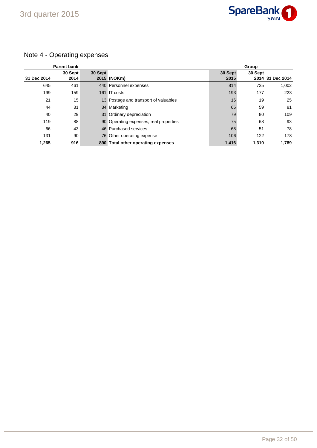

## Note 4 - Operating expenses

|             | <b>Parent bank</b> |         |                                        |                 | Group   |                  |
|-------------|--------------------|---------|----------------------------------------|-----------------|---------|------------------|
| 31 Dec 2014 | 30 Sept<br>2014    | 30 Sept | 2015 (NOKm)                            | 30 Sept<br>2015 | 30 Sept | 2014 31 Dec 2014 |
| 645         | 461                |         | 440 Personnel expenses                 | 814             | 735     | 1,002            |
| 199         | 159                |         | 161 IT costs                           | 193             | 177     | 223              |
| 21          | 15                 |         | 13 Postage and transport of valuables  | 16              | 19      | 25               |
| 44          | 31                 |         | 34 Marketing                           | 65              | 59      | 81               |
| 40          | 29                 |         | 31 Ordinary depreciation               | 79              | 80      | 109              |
| 119         | 88                 |         | 90 Operating expenses, real properties | 75              | 68      | 93               |
| 66          | 43                 |         | 46 Purchased services                  | 68              | 51      | 78               |
| 131         | 90                 |         | 76 Other operating expense             | 106             | 122     | 178              |
| 1,265       | 916                |         | 890 Total other operating expenses     | 1,416           | 1,310   | 1.789            |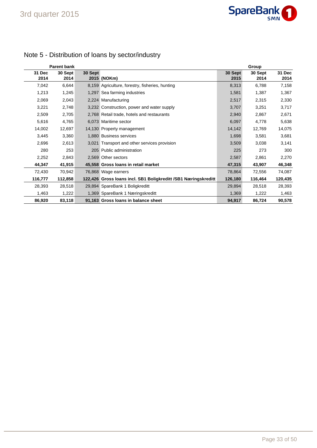

|                | <b>Parent bank</b> |         |                                                                |                 | Group           |                |
|----------------|--------------------|---------|----------------------------------------------------------------|-----------------|-----------------|----------------|
| 31 Dec<br>2014 | 30 Sept<br>2014    | 30 Sept | 2015 (NOKm)                                                    | 30 Sept<br>2015 | 30 Sept<br>2014 | 31 Dec<br>2014 |
| 7,042          | 6,644              |         | 8,159 Agriculture, forestry, fisheries, hunting                | 8,313           | 6,788           | 7,158          |
| 1,213          | 1,245              |         | 1,297 Sea farming industries                                   | 1,581           | 1,387           | 1,367          |
| 2,069          | 2,043              |         | 2,224 Manufacturing                                            | 2,517           | 2,315           | 2,330          |
| 3,221          | 2,748              |         | 3,232 Construction, power and water supply                     | 3,707           | 3,251           | 3,717          |
| 2,509          | 2,705              |         | 2,768 Retail trade, hotels and restaurants                     | 2,940           | 2,867           | 2,671          |
| 5,616          | 4,765              |         | 6,073 Maritime sector                                          | 6,097           | 4,778           | 5,638          |
| 14,002         | 12,697             |         | 14,130 Property management                                     | 14,142          | 12,769          | 14,075         |
| 3,445          | 3,360              |         | 1.880 Business services                                        | 1,698           | 3,581           | 3,681          |
| 2,696          | 2,613              |         | 3,021 Transport and other services provision                   | 3,509           | 3,038           | 3,141          |
| 280            | 253                |         | 205 Public administration                                      | 225             | 273             | 300            |
| 2,252          | 2,843              |         | 2,569 Other sectors                                            | 2,587           | 2,861           | 2,270          |
| 44,347         | 41,915             |         | 45,558 Gross Ioans in retail market                            | 47,315          | 43,907          | 46,348         |
| 72,430         | 70,942             |         | 76,868 Wage earners                                            | 78,864          | 72,556          | 74,087         |
| 116,777        | 112,858            |         | 122,426 Gross Ioans incl. SB1 Boligkreditt /SB1 Næringskreditt | 126,180         | 116,464         | 120,435        |
| 28,393         | 28,518             |         | 29,894 SpareBank 1 Boligkreditt                                | 29,894          | 28,518          | 28,393         |
| 1,463          | 1,222              |         | 1,369 SpareBank 1 Næringskreditt                               | 1,369           | 1,222           | 1,463          |
| 86,920         | 83,118             |         | 91,163 Gross Ioans in balance sheet                            | 94,917          | 86,724          | 90,578         |

## Note 5 - Distribution of loans by sector/industry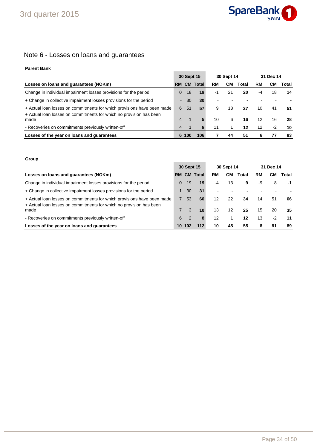

## Note 6 - Losses on loans and guarantees

## **Parent Bank**

|                                                                                                                                                | 30 Sept 15     |    |                 |    | 30 Sept 14 |       |    | 31 Dec 14 |       |
|------------------------------------------------------------------------------------------------------------------------------------------------|----------------|----|-----------------|----|------------|-------|----|-----------|-------|
| Losses on loans and guarantees (NOKm)                                                                                                          | <b>RM</b>      |    | <b>CM Total</b> | RM | CM.        | Total | RM | CМ        | Total |
| Change in individual impairment losses provisions for the period                                                                               | 0              | 18 | 19              | -1 | 21         | 20    | -4 | 18        | 14    |
| + Change in collective impairment losses provisions for the period                                                                             | $\blacksquare$ | 30 | 30              |    |            |       |    |           |       |
| + Actual loan losses on commitments for which provisions have been made<br>+ Actual loan losses on commitments for which no provision has been | 6              | 51 | 57              | 9  | 18         | 27    | 10 | 41        | 51    |
| made                                                                                                                                           | 4              |    | 5               | 10 | 6          | 16    | 12 | 16        | 28    |
| - Recoveries on commitments previously written-off                                                                                             | 4              |    |                 | 11 |            | 12    | 12 | $-2$      | 10    |
| Losses of the year on loans and quarantees                                                                                                     | 6              |    | 106             |    | 44         | 51    | 6  | 77        | 83    |

### **Group**

|                                                                                                                                                | 30 Sept 15 |                |                 |    | 30 Sept 14 |       | 31 Dec 14 |      |       |
|------------------------------------------------------------------------------------------------------------------------------------------------|------------|----------------|-----------------|----|------------|-------|-----------|------|-------|
| Losses on loans and guarantees (NOKm)                                                                                                          | <b>RM</b>  |                | <b>CM Total</b> | RM | CМ         | Total | RM        | CМ   | Total |
| Change in individual impairment losses provisions for the period                                                                               | 0          | -19            | 19              | -4 | 13         | 9     | -9        | 8    | -1    |
| + Change in collective impairment losses provisions for the period                                                                             |            | 30             | 31              |    |            |       |           |      |       |
| + Actual loan losses on commitments for which provisions have been made<br>+ Actual loan losses on commitments for which no provision has been |            | 53             | 60              | 12 | 22         | 34    | 14        | 51   | 66    |
| made                                                                                                                                           |            | 3              | 10              | 13 | 12         | 25    | 15        | 20   | 35    |
| - Recoveries on commitments previously written-off                                                                                             | 6          | $\overline{2}$ |                 | 12 |            | 12    | 13        | $-2$ | 11    |
| Losses of the year on loans and quarantees                                                                                                     | 10         | 102            |                 | 10 | 45         | 55    | 8         | -81  | 89    |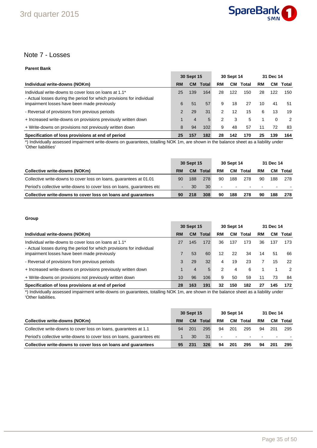

## Note 7 - Losses

## **Parent Bank**

|                                                                                                                                                                               | 30 Sept 15    |           |           | 30 Sept 14 |           |           | 31 Dec 14 |           |               |
|-------------------------------------------------------------------------------------------------------------------------------------------------------------------------------|---------------|-----------|-----------|------------|-----------|-----------|-----------|-----------|---------------|
| Individual write-downs (NOKm)                                                                                                                                                 | RM            | <b>CM</b> | Total     | RM         | <b>CM</b> | Total     | RM        | CМ        | Total         |
| Individual write-downs to cover loss on loans at 1.1*<br>- Actual losses during the period for which provisions for individual<br>impairment losses have been made previously | 25<br>6       | 139<br>51 | 164<br>57 | 28<br>9    | 122<br>18 | 150<br>27 | 28<br>10  | 122<br>41 | 150<br>51     |
| - Reversal of provisions from previous periods                                                                                                                                | $\mathcal{P}$ | 29        | 31        | 2          | 12        | 15        | 6         | 13        | 19            |
| + Increased write-downs on provisions previously written down                                                                                                                 |               | 4         | 5.        | 2          | 3         | 5         |           | 0         | $\mathcal{P}$ |
| + Write-downs on provisions not previously written down                                                                                                                       | 8             | 94        | 102       | 9          | 48        | 57        | 11        | 72        | 83            |
| Specification of loss provisions at end of period                                                                                                                             | 25            | 157       | 182       | 28         | 142       | 170       | 25        | 139       | 164           |

\*) Individually assessed impairment write-downs on guarantees, totalling NOK 1m, are shown in the balance sheet as a liability under 'Other liabilities'

|                                                                         | 30 Sept 15 |           |                 | 30 Sept 14 |        |        | 31 Dec 14                |                          |                 |
|-------------------------------------------------------------------------|------------|-----------|-----------------|------------|--------|--------|--------------------------|--------------------------|-----------------|
| <b>Collective write-downs (NOKm)</b>                                    | RM         | <b>CM</b> | Total           | RM         | CМ     | Total  | RM                       |                          | <b>CM</b> Total |
| Collective write-downs to cover loss on loans, guarantees at 01.01      | 90         | 188       | 278             | 90         | 188    | 278    | 90                       | 188                      | 278             |
| Period's collective write-downs to cover loss on loans, quarantees etc. |            | 30        | 30 <sup>°</sup> |            | $\sim$ | $\sim$ | $\overline{\phantom{0}}$ | $\overline{\phantom{a}}$ |                 |
| Collective write-downs to cover loss on loans and quarantees            | 90         | 218       | 308             | 90         | 188    | 278    | 90                       | 188                      | 278             |

### **Group**

|                                                                                                                                                                               | 30 Sept 15 |           |              |                         | 30 Sept 14 |           | 31 Dec 14 |           |               |
|-------------------------------------------------------------------------------------------------------------------------------------------------------------------------------|------------|-----------|--------------|-------------------------|------------|-----------|-----------|-----------|---------------|
| Individual write-downs (NOKm)                                                                                                                                                 | RM         | <b>CM</b> | <b>Total</b> | RM                      | CM.        | Total     | RM        | CМ        | Total         |
| Individual write-downs to cover loss on loans at 1.1*<br>- Actual losses during the period for which provisions for individual<br>impairment losses have been made previously | 27         | 145<br>53 | 172<br>60    | 36<br>$12 \overline{ }$ | 137<br>22  | 173<br>34 | 36<br>14  | 137<br>51 | 173<br>66     |
| - Reversal of provisions from previous periods                                                                                                                                | 3          | 29        | 32           | 4                       | 19         | 23        |           | 15        | 22            |
| + Increased write-downs on provisions previously written down                                                                                                                 |            | 4         | 5.           | 2                       | 4          | 6         |           |           | $\mathcal{P}$ |
| + Write-downs on provisions not previously written down                                                                                                                       | 10         | 96        | 106          | 9                       | 50         | 59        | 11        | 73        | 84            |
| Specification of loss provisions at end of period                                                                                                                             | 28         | 163       | 191          | 32                      | 150        | 182       | 27        | 145       | 172           |

\*) Individually assessed impairment write-downs on guarantees, totalling NOK 1m, are shown in the balance sheet as a liability under 'Other liabilities.

|                                                                         | 30 Sept 15 |     |       | 30 Sept 14 |                          |                          | 31 Dec 14                |                          |       |
|-------------------------------------------------------------------------|------------|-----|-------|------------|--------------------------|--------------------------|--------------------------|--------------------------|-------|
| Collective write-downs (NOKm)                                           | RM         | CM. | Total | RM         | CМ                       | Total                    | RM                       | CМ                       | Total |
| Collective write-downs to cover loss on loans, guarantees at 1.1        | 94         | 201 | 295   | 94         | 201                      | 295                      | 94                       | 201                      | 295   |
| Period's collective write-downs to cover loss on loans, quarantees etc. |            | 30  | 31    | ۰.         | $\overline{\phantom{a}}$ | $\overline{\phantom{a}}$ | $\overline{\phantom{0}}$ | $\overline{\phantom{a}}$ |       |
| Collective write-downs to cover loss on loans and quarantees            | 95         | 231 | 326   | 94         | 201                      | 295                      | 94                       | 201                      | 295   |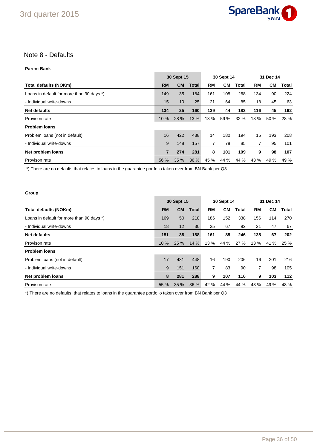

## Note 8 - Defaults

### **Parent Bank**

|                                           |           | 30 Sept 15 |              | 30 Sept 14 |      |       | 31 Dec 14 |      |       |
|-------------------------------------------|-----------|------------|--------------|------------|------|-------|-----------|------|-------|
| Total defaults (NOKm)                     | <b>RM</b> | <b>CM</b>  | <b>Total</b> | RM         | CМ   | Total | RM        | CМ   | Total |
| Loans in default for more than 90 days *) | 149       | 35         | 184          | 161        | 108  | 268   | 134       | 90   | 224   |
| - Individual write-downs                  | 15        | 10         | 25           | 21         | 64   | 85    | 18        | 45   | 63    |
| <b>Net defaults</b>                       | 134       | 25         | 160          | 139        | 44   | 183   | 116       | 45   | 162   |
| Provison rate                             | 10 %      | 28 %       | 13 %         | 13 %       | 59 % | 32%   | 13 %      | 50%  | 28 %  |
| <b>Problem loans</b>                      |           |            |              |            |      |       |           |      |       |
| Problem loans (not in default)            | 16        | 422        | 438          | 14         | 180  | 194   | 15        | 193  | 208   |
| - Individual write-downs                  | 9         | 148        | 157          | 7          | 78   | 85    | 7         | 95   | 101   |
| Net problem loans                         | 7         | 274        | 281          | 8          | 101  | 109   | 9         | 98   | 107   |
| Provison rate                             | 56 %      | 35%        | 36 %         | 45 %       | 44 % | 44 %  | 43 %      | 49 % | 49 %  |

\*) There are no defaults that relates to loans in the guarantee portfolio taken over from BN Bank per Q3

### **Group**

|                                           |           | 30 Sept 15 |              |      | 30 Sept 14 |       |      | 31 Dec 14 |       |  |
|-------------------------------------------|-----------|------------|--------------|------|------------|-------|------|-----------|-------|--|
| Total defaults (NOKm)                     | <b>RM</b> | <b>CM</b>  | <b>Total</b> | RM   | <b>CM</b>  | Total | RM   | CМ        | Total |  |
| Loans in default for more than 90 days *) | 169       | 50         | 218          | 186  | 152        | 338   | 156  | 114       | 270   |  |
| - Individual write-downs                  | 18        | 12         | 30           | 25   | 67         | 92    | 21   | 47        | 67    |  |
| <b>Net defaults</b>                       | 151       | 38         | 188          | 161  | 85         | 246   | 135  | 67        | 202   |  |
| Provison rate                             | 10%       | 25 %       | 14 %         | 13 % | 44 %       | 27%   | 13 % | 41 %      | 25 %  |  |
| <b>Problem loans</b>                      |           |            |              |      |            |       |      |           |       |  |
| Problem loans (not in default)            | 17        | 431        | 448          | 16   | 190        | 206   | 16   | 201       | 216   |  |
| - Individual write-downs                  | 9         | 151        | 160          | 7    | 83         | 90    |      | 98        | 105   |  |
| Net problem loans                         | 8         | 281        | 288          | 9    | 107        | 116   | 9    | 103       | 112   |  |
| Provison rate                             | 55 %      | 35%        | 36 %         | 42 % | 44 %       | 44 %  | 43 % | 49 %      | 48 %  |  |

\*) There are no defaults that relates to loans in the guarantee portfolio taken over from BN Bank per Q3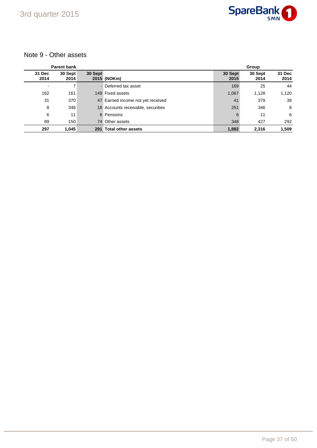

## Note 9 - Other assets

|                | <b>Parent bank</b> |         |                                    |                 | Group           |                |
|----------------|--------------------|---------|------------------------------------|-----------------|-----------------|----------------|
| 31 Dec<br>2014 | 30 Sept<br>2014    | 30 Sept | 2015 (NOKm)                        | 30 Sept<br>2015 | 30 Sept<br>2014 | 31 Dec<br>2014 |
|                | 7                  |         | - Deferred tax asset               | 169             | 25              | 44             |
| 162            | 161                |         | 149 Fixed assets                   | 1,067           | 1,128           | 1,120          |
| 31             | 370                |         | 47 Earned income not yet received  | 41              | 379             | 39             |
| 8              | 346                |         | 16 Accounts receivable, securities | 251             | 346             | 8              |
| 6              | 11                 |         | 6 Pensions                         | 6               | 11              | 6              |
| 89             | 150                | 74      | Other assets                       | 348             | 427             | 292            |
| 297            | 1,045              | 291     | <b>Total other assets</b>          | 1,882           | 2,316           | 1,509          |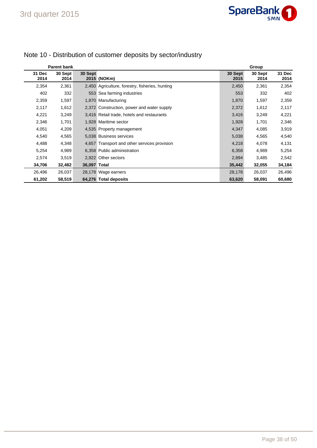|                | <b>Parent bank</b> |              |                                                 |                 | Group           |                       |
|----------------|--------------------|--------------|-------------------------------------------------|-----------------|-----------------|-----------------------|
| 31 Dec<br>2014 | 30 Sept<br>2014    | 30 Sept      | 2015 (NOKm)                                     | 30 Sept<br>2015 | 30 Sept<br>2014 | <b>31 Dec</b><br>2014 |
| 2,354          | 2,361              |              | 2,450 Agriculture, forestry, fisheries, hunting | 2,450           | 2,361           | 2,354                 |
| 402            | 332                |              | 553 Sea farming industries                      | 553             | 332             | 402                   |
| 2,359          | 1,597              |              | 1,870 Manufacturing                             | 1,870           | 1,597           | 2,359                 |
| 2,117          | 1,612              |              | 2,372 Construction, power and water supply      | 2,372           | 1,612           | 2,117                 |
| 4,221          | 3,249              |              | 3,416 Retail trade, hotels and restaurants      | 3,416           | 3,249           | 4,221                 |
| 2,346          | 1,701              |              | 1,928 Maritime sector                           | 1,928           | 1,701           | 2,346                 |
| 4,051          | 4,209              |              | 4,535 Property management                       | 4,347           | 4,085           | 3,919                 |
| 4,540          | 4,565              |              | 5.038 Business services                         | 5,038           | 4,565           | 4,540                 |
| 4,488          | 4,348              |              | 4,657 Transport and other services provision    | 4,218           | 4,078           | 4,131                 |
| 5,254          | 4,989              |              | 6,358 Public administration                     | 6,358           | 4,989           | 5,254                 |
| 2,574          | 3,519              |              | 2,922 Other sectors                             | 2,894           | 3,485           | 2,542                 |
| 34,706         | 32,482             | 36,097 Total |                                                 | 35,442          | 32,055          | 34,184                |
| 26,496         | 26,037             |              | 28,178 Wage earners                             | 28,178          | 26,037          | 26,496                |
| 61,202         | 58,519             |              | 64,276 Total deposits                           | 63,620          | 58,091          | 60,680                |

## Note 10 - Distribution of customer deposits by sector/industry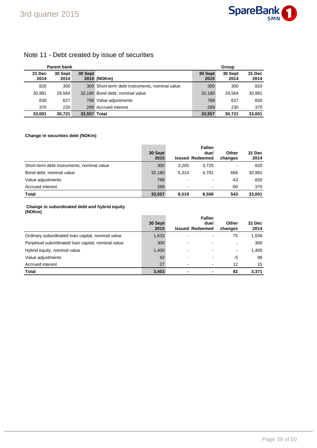

## Note 11 - Debt created by issue of securities

|                | <b>Parent bank</b> |              |                                                |                 | Group           |                |
|----------------|--------------------|--------------|------------------------------------------------|-----------------|-----------------|----------------|
| 31 Dec<br>2014 | 30 Sept<br>2014    | 30 Sept      | 2015 (NOKm)                                    | 30 Sept<br>2015 | 30 Sept<br>2014 | 31 Dec<br>2014 |
| 820            | 300                |              | 300 Short-term debt instruments, nominal value | 300             | 300             | 820            |
| 30,981         | 29.564             |              | 32,180 Bond debt, nominal value                | 32,180          | 29.564          | 30,981         |
| 830            | 627                |              | 788 Value adjustments                          | 788             | 627             | 830            |
| 370            | 230                |              | 289 Accrued interest                           | 289             | 230             | 370            |
| 33,001         | 30.721             | 33,557 Total |                                                | 33.557          | 30.721          | 33,001         |

### **Change in securities debt (NOKm)**

|                                            | 30 Sept<br>2015 |       | <b>Fallen</b><br>due/<br><b>Issued Redeemed</b> | Other<br>changes | 31 Dec<br>2014 |
|--------------------------------------------|-----------------|-------|-------------------------------------------------|------------------|----------------|
| Short-term debt instruments, nominal value | 300             | 3.205 | 3.725                                           | $\blacksquare$   | 820            |
| Bond debt, nominal value                   | 32,180          | 5.314 | 4.781                                           | 666              | 30,981         |
| Value adjustments                          | 788             |       |                                                 | -42              | 830            |
| Accrued interest                           | 289             | -     |                                                 | -80              | 370            |
| <b>Total</b>                               | 33,557          | 8.519 | 8.506                                           | 543              | 33.001         |

#### **Change in subordinated debt and hybrid equity (NOKm)**

|                                                    | 30 Sept<br>2015 | <b>Fallen</b><br>due/<br><b>Issued Redeemed</b> | Other<br>changes | 31 Dec<br>2014 |
|----------------------------------------------------|-----------------|-------------------------------------------------|------------------|----------------|
| Ordinary subordinated loan capital, nominal value  | 1,633           |                                                 | 75               | 1,558          |
| Perpetual subordinated loan capital, nominal value | 300             |                                                 |                  | 300            |
| Hybrid equity, nominal value                       | 1,400           |                                                 | -                | 1,400          |
| Value adjustments                                  | 92              |                                                 | -5               | 98             |
| Accrued interest                                   | 27              |                                                 | 12               | 15             |
| <b>Total</b>                                       | 3,453           |                                                 | 82               | 3,371          |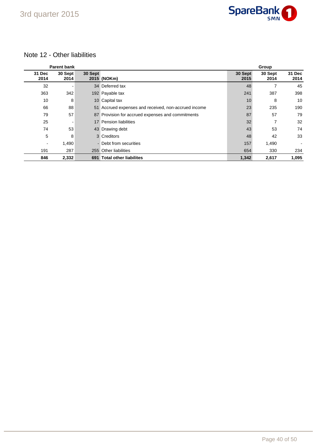

## Note 12 - Other liabilities

| <b>Parent bank</b> |                 |         |                                                      |                 | Group           |                |  |
|--------------------|-----------------|---------|------------------------------------------------------|-----------------|-----------------|----------------|--|
| 31 Dec<br>2014     | 30 Sept<br>2014 | 30 Sept | 2015 (NOKm)                                          | 30 Sept<br>2015 | 30 Sept<br>2014 | 31 Dec<br>2014 |  |
| 32                 |                 |         | 34 Deferred tax                                      | 48              |                 | 45             |  |
| 363                | 342             |         | 192 Payable tax                                      | 241             | 387             | 398            |  |
| 10                 | 8               |         | 10 Capital tax                                       | 10              | 8               | 10             |  |
| 66                 | 88              |         | 51 Accrued expenses and received, non-accrued income | 23              | 235             | 190            |  |
| 79                 | 57              |         | 87 Provision for accrued expenses and commitments    | 87              | 57              | 79             |  |
| 25                 |                 |         | 17 Pension liabilities                               | 32              |                 | 32             |  |
| 74                 | 53              |         | 43 Drawing debt                                      | 43              | 53              | 74             |  |
| 5                  | 8               |         | 3 Creditors                                          | 48              | 42              | 33             |  |
| $\blacksquare$     | 1,490           |         | - Debt from securities                               | 157             | 1,490           |                |  |
| 191                | 287             |         | 255 Other liabilities                                | 654             | 330             | 234            |  |
| 846                | 2,332           |         | 691 Total other liabilites                           | 1,342           | 2,617           | 1,095          |  |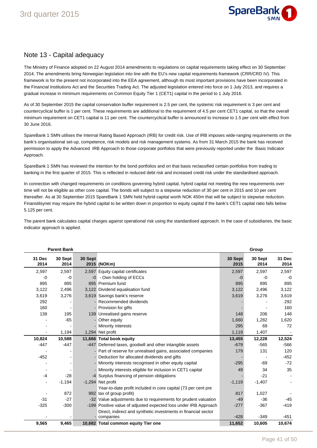

## Note 13 - Capital adequacy

The Ministry of Finance adopted on 22 August 2014 amendments to regulations on capital requirements taking effect on 30 September 2014. The amendments bring Norwegian legislation into line with the EU's new capital requirements framework (CRR/CRD IV). This framework is for the present not incorporated into the EEA agreement, although its most important provisions have been incorporated in the Financial Institutions Act and the Securities Trading Act. The adjusted legislation entered into force on 1 July 2013, and requires a gradual increase in minimum requirements on Common Equity Tier 1 (CET1) capital in the period to 1 July 2016.

As of 30 September 2015 the capital conservation buffer requirement is 2.5 per cent, the systemic risk requirement is 3 per cent and countercyclical buffer is 1 per cent. These requirements are additional to the requirement of 4.5 per cent CET1 capital, so that the overall minimum requirement on CET1 capital is 11 per cent. The countercyclical buffer is announced to increase to 1.5 per cent with effect from 30 June 2016.

SpareBank 1 SMN utilises the Internal Rating Based Approach (IRB) for credit risk. Use of IRB imposes wide-ranging requirements on the bank's organisational set-up, competence, risk models and risk management systems. As from 31 March 2015 the bank has received permission to apply the Advanced IRB Approach to those corporate portfolios that were previously reported under the Basic Indicator Approach.

SpareBank 1 SMN has reviewed the intention for the bond portfolios and on that basis reclassified certain portfolios from trading to banking in the first quarter of 2015. This is reflected in reduced debt risk and increased credit risk under the standardised approach.

In connection with changed requirements on conditions governing hybrid capital, hybrid capital not meeting the new requirements over time will not be eligible as other core capital. The bonds will subject to a stepwise reduction of 30 per cent in 2015 and 10 per cent thereafter. As at 30 September 2015 SpareBank 1 SMN held hybrid capital worth NOK 450m that will be subject to stepwise reduction. Finanstilsynet may require the hybrid capital to be written down in proportion to equity capital if the bank's CET1 capital ratio falls below 5.125 per cent.

The parent bank calculates capital charges against operational risk using the standardised approach. In the case of subsidiaries, the basic indicator approach is applied.

|                | <b>Parent Bank</b> |         |                                                                  |                 | Group           |                |
|----------------|--------------------|---------|------------------------------------------------------------------|-----------------|-----------------|----------------|
| 31 Dec<br>2014 | 30 Sept<br>2014    | 30 Sept | 2015 (NOKm)                                                      | 30 Sept<br>2015 | 30 Sept<br>2014 | 31 Dec<br>2014 |
| 2,597          | 2,597              |         | 2,597 Equity capital certificates                                | 2,597           | 2,597           | 2,597          |
| -0             | -0                 |         | -0 - Own holding of ECCs                                         | $-0$            | $-0$            | $-0$           |
| 895            | 895                |         | 895 Premium fund                                                 | 895             | 895             | 895            |
| 3,122          | 2,496              |         | 3,122 Dividend equalisation fund                                 | 3,122           | 2,496           | 3,122          |
| 3,619          | 3,276              |         | 3,619 Savings bank's reserve                                     | 3,619           | 3,276           | 3,619          |
| 292            |                    |         | - Recommended dividends                                          |                 |                 | 292            |
| 160            |                    |         | - Provision for gifts                                            |                 |                 | 160            |
| 139            | 195                |         | 139 Unrealised gains reserve                                     | 148             | 206             | 148            |
|                | $-65$              |         | - Other equity                                                   | 1,660           | 1,282           | 1,620          |
|                |                    |         | - Minority interests                                             | 295             | 69              | 72             |
|                | 1,194              |         | 1,294 Net profit                                                 | 1,119           | 1,407           |                |
| 10,824         | 10,588             |         | 11,666 Total book equity                                         | 13,455          | 12,228          | 12,524         |
| $-447$         | $-447$             |         | -447 Deferred taxes, goodwill and other intangible assets        | $-679$          | $-565$          | $-566$         |
|                |                    |         | - Part of reserve for unrealised gains, associated companies     | 179             | 131             | 120            |
| $-452$         |                    |         | Deduction for allocated dividends and gifts                      |                 |                 | $-452$         |
|                |                    |         | - Minority interests recognised in other equity capital          | $-295$          | $-69$           | $-72$          |
|                |                    |         | Minority interests eligible for inclusion in CET1 capital        | 49              | 34              | 35             |
| $-4$           | $-28$              |         | -4 Surplus financing of pension obligations                      |                 | $-21$           |                |
| $\blacksquare$ | $-1,194$           |         | -1,294 Net profit                                                | $-1,119$        | $-1,407$        |                |
|                |                    |         | Year-to-date profit included in core capital (73 per cent pre    |                 |                 |                |
|                | 872                |         | 992 tax of group profit)                                         | 817             | 1,027           |                |
| $-31$          | $-27$              |         | -32 Value adjustments due to requirements for prudent valuation  | $-49$           | $-36$           | $-45$          |
| $-325$         | $-300$             |         | -199 Positive value of adjusted expected loss under IRB Approach | $-277$          | $-367$          | $-419$         |
|                |                    |         | Direct, indirect and synthetic investments in financial sector   |                 |                 |                |
|                |                    |         | - companies                                                      | $-428$          | $-349$          | $-451$         |
| 9,565          | 9,465              |         | 10,682 Total common equity Tier one                              | 11,652          | 10,605          | 10,674         |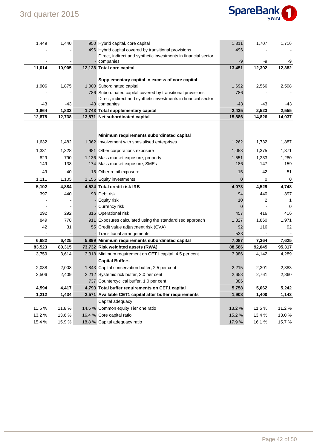

| 1,449  | 1,440  | 950 Hybrid capital, core capital                               | 1,311  | 1,707  | 1,716       |
|--------|--------|----------------------------------------------------------------|--------|--------|-------------|
|        |        | 496 Hybrid capital covered by transitional provisions          | 496    |        |             |
|        |        | Direct, indirect and synthetic investments in financial sector |        |        |             |
|        |        | - companies                                                    | $-9$   | -9     | -9          |
| 11,014 | 10,905 | 12,128 Total core capital                                      | 13,451 | 12,302 | 12,382      |
|        |        | Supplementary capital in excess of core capital                |        |        |             |
| 1,906  | 1,875  | 1,000 Subordinated capital                                     | 1,692  | 2,566  | 2,598       |
|        |        | 786 Subordinated capital covered by transitional provisions    | 786    |        |             |
|        |        | Direct, indirect and synthetic investments in financial sector |        |        |             |
| -43    | -43    | -43 companies                                                  | -43    | -43    | -43         |
| 1,864  | 1,833  | 1,743 Total supplementary capital                              | 2,435  | 2,523  | 2,555       |
| 12,878 | 12,738 | 13,871 Net subordinated capital                                | 15,886 | 14,826 | 14,937      |
|        |        |                                                                |        |        |             |
|        |        | Minimum requirements subordinated capital                      |        |        |             |
| 1,632  | 1,482  | 1,062 Involvement with spesialised enterprises                 | 1,262  | 1,732  | 1,887       |
| 1,331  | 1,328  | 981 Other corporations exposure                                | 1,058  | 1,375  | 1,371       |
| 829    | 790    | 1,136 Mass market exposure, property                           | 1,551  | 1,233  | 1,280       |
| 149    | 138    | 174 Mass market exposure, SMEs                                 | 186    | 147    | 159         |
| 49     | 40     | 15 Other retail exposure                                       | 15     | 42     | 51          |
| 1,111  | 1,105  | 1,155 Equity investments                                       | 0      | 0      | 0           |
| 5,102  | 4,884  | 4,524 Total credit risk IRB                                    | 4,073  | 4,529  | 4,748       |
| 397    | 440    | 93 Debt risk                                                   | 94     | 440    | 397         |
|        |        | Equity risk                                                    | 10     | 2      | 1           |
|        |        | - Currency risk                                                | 0      |        | $\mathbf 0$ |
| 292    | 292    | 316 Operational risk                                           | 457    | 416    | 416         |
| 849    | 778    | 911 Exposures calculated using the standardised approach       | 1,827  | 1,860  | 1,971       |
| 42     | 31     | 55 Credit value adjustment risk (CVA)                          | 92     | 116    | 92          |
|        |        | - Transitional arrangements                                    | 533    |        |             |
| 6,682  | 6,425  | 5,899 Minimum requirements subordinated capital                | 7,087  | 7,364  | 7,625       |
| 83,523 | 80,315 | 73,732 Risk weighted assets (RWA)                              | 88,586 | 92,045 | 95,317      |
| 3,759  | 3,614  | 3,318 Minimum requirement on CET1 capital, 4.5 per cent        | 3,986  | 4,142  | 4,289       |
|        |        | <b>Capital Buffers</b>                                         |        |        |             |
| 2,088  | 2,008  | 1,843 Capital conservation buffer, 2.5 per cent                | 2,215  | 2,301  | 2,383       |
| 2,506  | 2,409  | 2,212 Systemic rick buffer, 3.0 per cent                       | 2,658  | 2,761  | 2,860       |
|        |        | 737 Countercyclical buffer, 1.0 per cent                       | 886    |        |             |
| 4,594  | 4,417  | 4,793 Total buffer requirements on CET1 capital                | 5,758  | 5,062  | 5,242       |
| 1,212  | 1,434  | 2,571 Available CET1 capital after buffer requirements         | 1,908  | 1,400  | 1,143       |
|        |        | Capital adequacy                                               |        |        |             |
| 11.5 % | 11.8%  | 14.5 % Common equity Tier one ratio                            | 13.2 % | 11.5 % | 11.2%       |
| 13.2 % | 13.6%  | 16.4 % Core capital ratio                                      | 15.2 % | 13.4 % | 13.0%       |
| 15.4 % | 15.9%  | 18.8 % Capital adequacy ratio                                  | 17.9%  | 16.1%  | 15.7%       |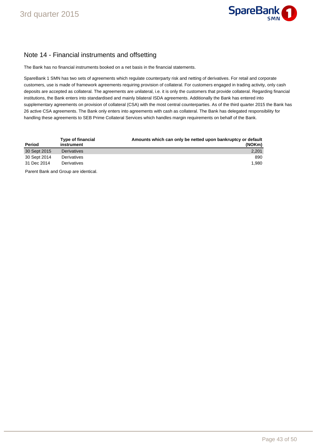

## Note 14 - Financial instruments and offsetting

The Bank has no financial instruments booked on a net basis in the financial statements.

SpareBank 1 SMN has two sets of agreements which regulate counterparty risk and netting of derivatives. For retail and corporate customers, use is made of framework agreements requiring provision of collateral. For customers engaged in trading activity, only cash deposits are accepted as collateral. The agreements are unilateral, i.e. it is only the customers that provide collateral. Regarding financial institutions, the Bank enters into standardised and mainly bilateral ISDA agreements. Additionally the Bank has entered into supplementary agreements on provision of collateral (CSA) with the most central counterparties. As of the third quarter 2015 the Bank has 26 active CSA agreements. The Bank only enters into agreements with cash as collateral. The Bank has delegated responsibility for handling these agreements to SEB Prime Collateral Services which handles margin requirements on behalf of the Bank.

| Period       | <b>Type of financial</b><br>instrument | Amounts which can only be netted upon bankruptcy or default<br>(NOKm) |
|--------------|----------------------------------------|-----------------------------------------------------------------------|
| 30 Sept 2015 | <b>Derivatives</b>                     | 2,201                                                                 |
| 30 Sept 2014 | Derivatives                            | 890                                                                   |
| 31 Dec 2014  | Derivatives                            | 1.980                                                                 |
|              | Parent Bank and Group are identical.   |                                                                       |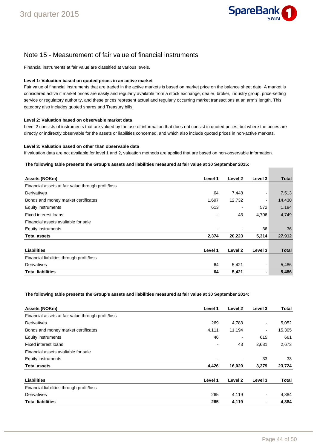

## Note 15 - Measurement of fair value of financial instruments

Financial instruments at fair value are classified at various levels.

#### **Level 1: Valuation based on quoted prices in an active market**

Fair value of financial instruments that are traded in the active markets is based on market price on the balance sheet date. A market is considered active if market prices are easily and regularly available from a stock exchange, dealer, broker, industry group, price-setting service or regulatory authority, and these prices represent actual and regularly occurring market transactions at an arm's length. This category also includes quoted shares and Treasury bills.

#### **Level 2: Valuation based on observable market data**

Level 2 consists of instruments that are valued by the use of information that does not consist in quoted prices, but where the prices are directly or indirectly observable for the assets or liabilities concerned, and which also include quoted prices in non-active markets.

#### **Level 3: Valuation based on other than observable data**

If valuation data are not available for level 1 and 2, valuation methods are applied that are based on non-observable information.

#### **The following table presents the Group's assets and liabilities measured at fair value at 30 September 2015:**

| Assets (NOKm)                                      | Level 1 | Level 2 | Level 3 | Total        |
|----------------------------------------------------|---------|---------|---------|--------------|
| Financial assets at fair value through profit/loss |         |         |         |              |
| Derivatives                                        | 64      | 7,448   |         | 7,513        |
| Bonds and money market certificates                | 1,697   | 12,732  |         | 14,430       |
| Equity instruments                                 | 613     |         | 572     | 1,184        |
| <b>Fixed interest loans</b>                        |         | 43      | 4,706   | 4,749        |
| Financial assets avaliable for sale                |         |         |         |              |
| Equity instruments                                 |         | ۰       | 36      | 36           |
| <b>Total assets</b>                                | 2,374   | 20,223  | 5,314   | 27,912       |
|                                                    |         |         |         |              |
| Liabilities                                        | Level 1 | Level 2 | Level 3 | <b>Total</b> |
| Financial liabilities through profit/loss          |         |         |         |              |
| Derivatives                                        | 64      | 5,421   |         | 5,486        |
| <b>Total liabilities</b>                           | 64      | 5,421   |         | 5,486        |

#### **The following table presents the Group's assets and liabilities measured at fair value at 30 September 2014:**

| Assets (NOKm)                                      | Level 1 | Level 2 | Level 3                  | Total  |
|----------------------------------------------------|---------|---------|--------------------------|--------|
| Financial assets at fair value through profit/loss |         |         |                          |        |
| Derivatives                                        | 269     | 4,783   | $\overline{\phantom{a}}$ | 5,052  |
| Bonds and money market certificates                | 4,111   | 11,194  | $\overline{\phantom{a}}$ | 15,305 |
| Equity instruments                                 | 46      |         | 615                      | 661    |
| <b>Fixed interest loans</b>                        |         | 43      | 2,631                    | 2,673  |
| Financial assets avaliable for sale                |         |         |                          |        |
| Equity instruments                                 |         |         | 33                       | 33     |
| <b>Total assets</b>                                | 4,426   | 16,020  | 3,279                    | 23,724 |
| <b>Liabilities</b>                                 | Level 1 | Level 2 | Level 3                  | Total  |
| Financial liabilities through profit/loss          |         |         |                          |        |
| Derivatives                                        | 265     | 4,119   | $\overline{\phantom{a}}$ | 4,384  |
| <b>Total liabilities</b>                           | 265     | 4,119   | -                        | 4,384  |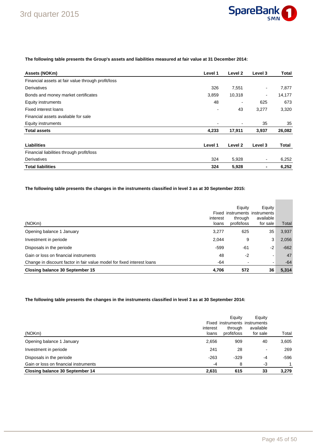

### **The following table presents the Group's assets and liabilities measured at fair value at 31 December 2014:**

| Assets (NOKm)                                      | Level 1 | Level 2 | Level 3                  | Total        |
|----------------------------------------------------|---------|---------|--------------------------|--------------|
| Financial assets at fair value through profit/loss |         |         |                          |              |
| Derivatives                                        | 326     | 7,551   | $\overline{\phantom{a}}$ | 7,877        |
| Bonds and money market certificates                | 3,859   | 10,318  | ٠                        | 14,177       |
| <b>Equity instruments</b>                          | 48      |         | 625                      | 673          |
| <b>Fixed interest loans</b>                        |         | 43      | 3,277                    | 3,320        |
| Financial assets avaliable for sale                |         |         |                          |              |
| Equity instruments                                 |         |         | 35                       | 35           |
| <b>Total assets</b>                                | 4,233   | 17,911  | 3,937                    | 26,082       |
| <b>Liabilities</b>                                 | Level 1 | Level 2 | Level 3                  | <b>Total</b> |
| Financial liabilities through profit/loss          |         |         |                          |              |
| Derivatives                                        | 324     | 5,928   | $\blacksquare$           | 6,252        |
| <b>Total liabilities</b>                           | 324     | 5,928   | -                        | 6,252        |

**The following table presents the changes in the instruments classified in level 3 as at 30 September 2015:** 

| (NOKm)                                                                 | interest<br>loans | Equity<br>through<br>profit/loss | Equity<br>Fixed instruments instruments<br>available<br>for sale | Total  |
|------------------------------------------------------------------------|-------------------|----------------------------------|------------------------------------------------------------------|--------|
| Opening balance 1 January                                              | 3.277             | 625                              | 35                                                               | 3,937  |
| Investment in periode                                                  | 2,044             | 9                                | 3                                                                | 2,056  |
| Disposals in the periode                                               | $-599$            | -61                              | $-2$                                                             | $-662$ |
| Gain or loss on financial instruments                                  | 48                | $-2$                             | -                                                                | 47     |
| Change in discount factor in fair value model for fixed interest loans | $-64$             | $\,$                             | -                                                                | $-64$  |
| Closing balance 30 September 15                                        | 4,706             | 572                              | 36                                                               | 5,314  |

## **The following table presents the changes in the instruments classified in level 3 as at 30 September 2014:**

| (NOKm)                                | interest<br>loans | Equity<br>through<br>profit/loss | Equity<br>Fixed instruments instruments<br>available<br>for sale | Total  |
|---------------------------------------|-------------------|----------------------------------|------------------------------------------------------------------|--------|
| Opening balance 1 January             | 2,656             | 909                              | 40                                                               | 3,605  |
| Investment in periode                 | 241               | 28                               | $\overline{\phantom{a}}$                                         | 269    |
| Disposals in the periode              | $-263$            | $-329$                           | $-4$                                                             | $-596$ |
| Gain or loss on financial instruments | $-4$              | 8                                | $-3$                                                             | 1      |
| Closing balance 30 September 14       | 2,631             | 615                              | 33                                                               | 3,279  |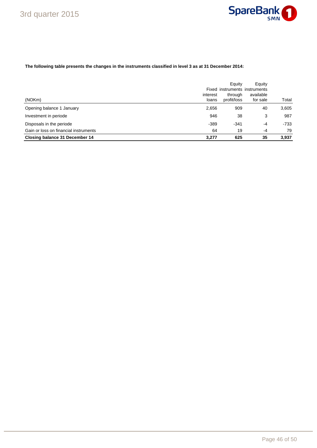

### **The following table presents the changes in the instruments classified in level 3 as at 31 December 2014:**

| (NOKm)                                | interest<br>loans | Equity<br>through<br>profit/loss | Equity<br>Fixed instruments instruments<br>available<br>for sale | Total |
|---------------------------------------|-------------------|----------------------------------|------------------------------------------------------------------|-------|
| Opening balance 1 January             | 2,656             | 909                              | 40                                                               | 3,605 |
| Investment in periode                 | 946               | 38                               | 3                                                                | 987   |
| Disposals in the periode              | $-389$            | $-341$                           | -4                                                               | -733  |
| Gain or loss on financial instruments | 64                | 19                               | -4                                                               | 79    |
| Closing balance 31 December 14        | 3.277             | 625                              | 35                                                               | 3.937 |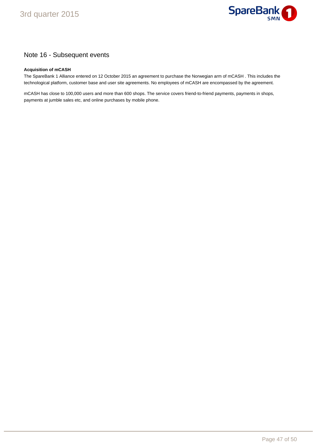

## Note 16 - Subsequent events

### **Acquisition of mCASH**

The SpareBank 1 Alliance entered on 12 October 2015 an agreement to purchase the Norwegian arm of mCASH . This includes the technological platform, customer base and user site agreements. No employees of mCASH are encompassed by the agreement.

mCASH has close to 100,000 users and more than 600 shops. The service covers friend-to-friend payments, payments in shops, payments at jumble sales etc, and online purchases by mobile phone.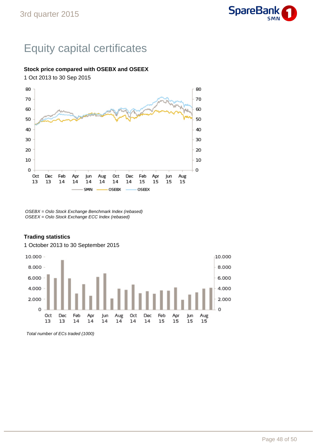# Equity capital certificates

## **Stock price compared with OSEBX and OSEEX**

1 Oct 2013 to 30 Sep 2015



OSEBX = Oslo Stock Exchange Benchmark Index (rebased) OSEEX = Oslo Stock Exchange ECC Index (rebased)

## **Trading statistics**

### 1 October 2013 to 30 September 2015



Total number of ECs traded (1000)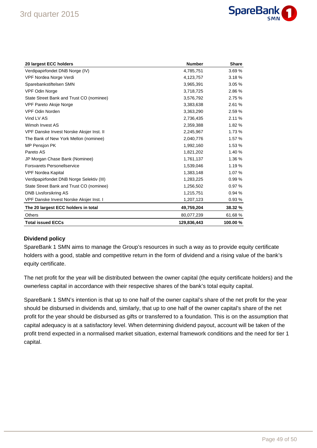

| 20 largest ECC holders                    | <b>Number</b> | <b>Share</b> |
|-------------------------------------------|---------------|--------------|
| Verdipapirfondet DNB Norge (IV)           | 4,785,751     | 3.69%        |
| VPF Nordea Norge Verdi                    | 4,123,757     | 3.18%        |
| Sparebankstiftelsen SMN                   | 3,965,391     | 3.05 %       |
| VPF Odin Norge                            | 3,718,725     | 2.86 %       |
| State Street Bank and Trust CO (nominee)  | 3,576,792     | 2.75 %       |
| VPF Pareto Aksje Norge                    | 3,383,638     | 2.61 %       |
| <b>VPF Odin Norden</b>                    | 3,363,290     | 2.59%        |
| Vind LV AS                                | 2,736,435     | 2.11 %       |
| Wimoh Invest AS                           | 2,359,388     | 1.82 %       |
| VPF Danske Invest Norske Aksjer Inst. II  | 2,245,967     | 1.73 %       |
| The Bank of New York Mellon (nominee)     | 2,040,776     | 1.57 %       |
| MP Pensjon PK                             | 1,992,160     | 1.53 %       |
| Pareto AS                                 | 1,821,202     | 1.40 %       |
| JP Morgan Chase Bank (Nominee)            | 1,761,137     | 1.36 %       |
| <b>Forsvarets Personellservice</b>        | 1,539,046     | 1.19 %       |
| <b>VPF Nordea Kapital</b>                 | 1,383,148     | 1.07 %       |
| Verdipapirfondet DNB Norge Selektiv (III) | 1,283,225     | 0.99%        |
| State Street Bank and Trust CO (nominee)  | 1,256,502     | 0.97%        |
| <b>DNB Livsforsikring AS</b>              | 1,215,751     | 0.94%        |
| VPF Danske Invest Norske Aksjer Inst. I   | 1,207,123     | 0.93%        |
| The 20 largest ECC holders in total       | 49,759,204    | 38.32 %      |
| <b>Others</b>                             | 80,077,239    | 61.68%       |
| <b>Total issued ECCs</b>                  | 129,836,443   | 100.00%      |

## **Dividend policy**

SpareBank 1 SMN aims to manage the Group's resources in such a way as to provide equity certificate holders with a good, stable and competitive return in the form of dividend and a rising value of the bank's equity certificate.

The net profit for the year will be distributed between the owner capital (the equity certificate holders) and the ownerless capital in accordance with their respective shares of the bank's total equity capital.

SpareBank 1 SMN's intention is that up to one half of the owner capital's share of the net profit for the year should be disbursed in dividends and, similarly, that up to one half of the owner capital's share of the net profit for the year should be disbursed as gifts or transferred to a foundation. This is on the assumption that capital adequacy is at a satisfactory level. When determining dividend payout, account will be taken of the profit trend expected in a normalised market situation, external framework conditions and the need for tier 1 capital.